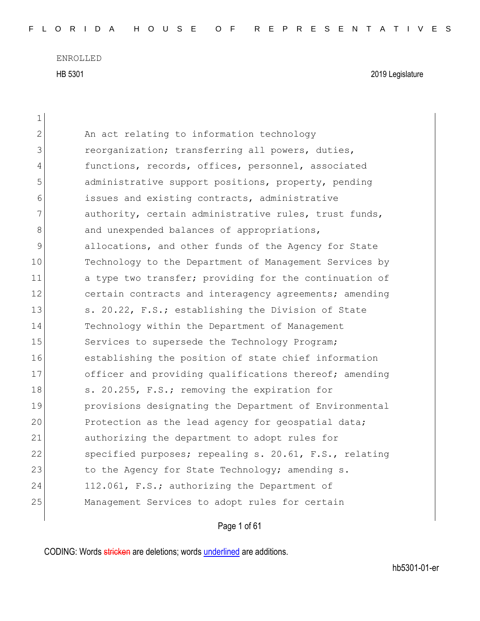| $\mathbf 1$ |                                                        |
|-------------|--------------------------------------------------------|
| 2           | An act relating to information technology              |
| 3           | reorganization; transferring all powers, duties,       |
| 4           | functions, records, offices, personnel, associated     |
| 5           | administrative support positions, property, pending    |
| 6           | issues and existing contracts, administrative          |
| 7           | authority, certain administrative rules, trust funds,  |
| 8           | and unexpended balances of appropriations,             |
| 9           | allocations, and other funds of the Agency for State   |
| 10          | Technology to the Department of Management Services by |
| 11          | a type two transfer; providing for the continuation of |
| 12          | certain contracts and interagency agreements; amending |
| 13          | s. 20.22, F.S.; establishing the Division of State     |
| 14          | Technology within the Department of Management         |
| 15          | Services to supersede the Technology Program;          |
| 16          | establishing the position of state chief information   |
| 17          | officer and providing qualifications thereof; amending |
| 18          | s. 20.255, F.S.; removing the expiration for           |
| 19          | provisions designating the Department of Environmental |
| 20          | Protection as the lead agency for geospatial data;     |
| 21          | authorizing the department to adopt rules for          |
| 22          | specified purposes; repealing s. 20.61, F.S., relating |
| 23          | to the Agency for State Technology; amending s.        |
| 24          | 112.061, F.S.; authorizing the Department of           |
| 25          | Management Services to adopt rules for certain         |
|             |                                                        |

Page 1 of 61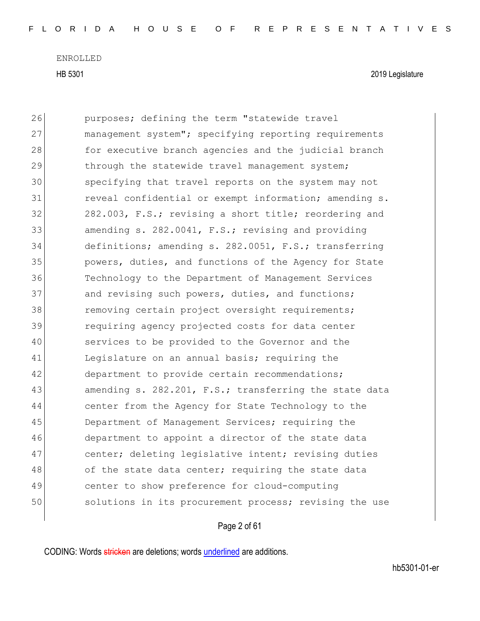| 26 | purposes; defining the term "statewide travel          |
|----|--------------------------------------------------------|
| 27 | management system"; specifying reporting requirements  |
| 28 | for executive branch agencies and the judicial branch  |
| 29 | through the statewide travel management system;        |
| 30 | specifying that travel reports on the system may not   |
| 31 | reveal confidential or exempt information; amending s. |
| 32 | 282.003, F.S.; revising a short title; reordering and  |
| 33 | amending s. 282.0041, F.S.; revising and providing     |
| 34 | definitions; amending s. 282.0051, F.S.; transferring  |
| 35 | powers, duties, and functions of the Agency for State  |
| 36 | Technology to the Department of Management Services    |
| 37 | and revising such powers, duties, and functions;       |
| 38 | removing certain project oversight requirements;       |
| 39 | requiring agency projected costs for data center       |
| 40 | services to be provided to the Governor and the        |
| 41 | Legislature on an annual basis; requiring the          |
| 42 | department to provide certain recommendations;         |
| 43 | amending s. 282.201, F.S.; transferring the state data |
| 44 | center from the Agency for State Technology to the     |
| 45 | Department of Management Services; requiring the       |
| 46 | department to appoint a director of the state data     |
| 47 | center; deleting legislative intent; revising duties   |
| 48 | of the state data center; requiring the state data     |
| 49 | center to show preference for cloud-computing          |
| 50 | solutions in its procurement process; revising the use |
|    |                                                        |

## Page 2 of 61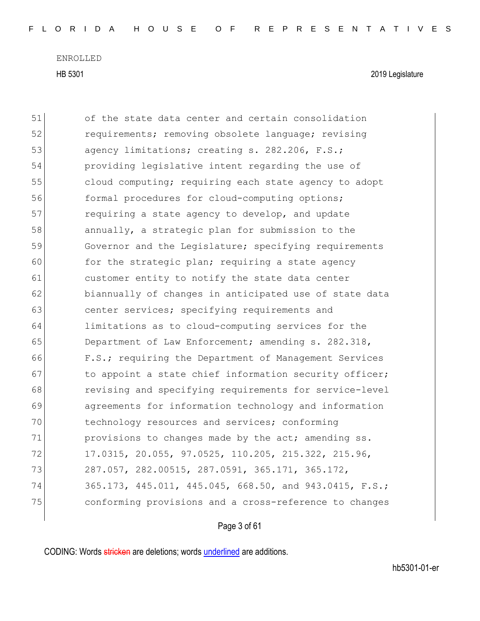| 51 | of the state data center and certain consolidation     |
|----|--------------------------------------------------------|
| 52 | requirements; removing obsolete language; revising     |
| 53 | agency limitations; creating s. 282.206, F.S.;         |
| 54 | providing legislative intent regarding the use of      |
| 55 | cloud computing; requiring each state agency to adopt  |
| 56 | formal procedures for cloud-computing options;         |
| 57 | requiring a state agency to develop, and update        |
| 58 | annually, a strategic plan for submission to the       |
| 59 | Governor and the Legislature; specifying requirements  |
| 60 | for the strategic plan; requiring a state agency       |
| 61 | customer entity to notify the state data center        |
| 62 | biannually of changes in anticipated use of state data |
| 63 | center services; specifying requirements and           |
| 64 | limitations as to cloud-computing services for the     |
| 65 | Department of Law Enforcement; amending s. 282.318,    |
| 66 | F.S.; requiring the Department of Management Services  |
| 67 | to appoint a state chief information security officer; |
| 68 | revising and specifying requirements for service-level |
| 69 | agreements for information technology and information  |
| 70 | technology resources and services; conforming          |
| 71 | provisions to changes made by the act; amending ss.    |
| 72 | 17.0315, 20.055, 97.0525, 110.205, 215.322, 215.96,    |
| 73 | 287.057, 282.00515, 287.0591, 365.171, 365.172,        |
| 74 | 365.173, 445.011, 445.045, 668.50, and 943.0415, F.S.; |
| 75 | conforming provisions and a cross-reference to changes |
|    |                                                        |

Page 3 of 61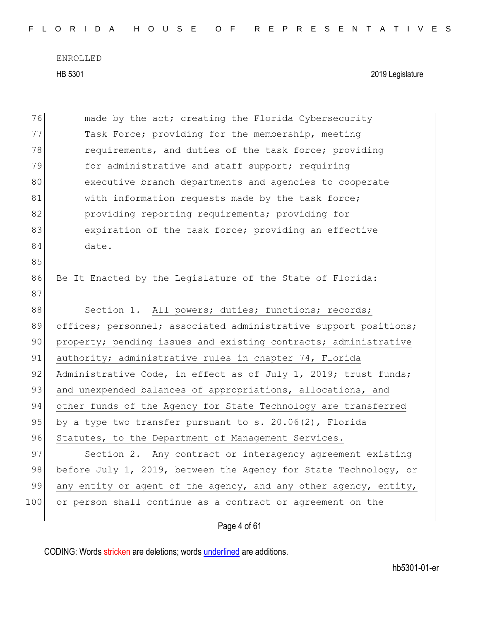| FLORIDA HOUSE OF REPRESENTATIVES |  |  |  |  |  |  |  |  |  |  |  |  |  |  |  |  |  |  |  |  |  |  |  |  |  |  |  |  |  |  |  |  |  |  |
|----------------------------------|--|--|--|--|--|--|--|--|--|--|--|--|--|--|--|--|--|--|--|--|--|--|--|--|--|--|--|--|--|--|--|--|--|--|
|----------------------------------|--|--|--|--|--|--|--|--|--|--|--|--|--|--|--|--|--|--|--|--|--|--|--|--|--|--|--|--|--|--|--|--|--|--|

| 76  | made by the act; creating the Florida Cybersecurity              |
|-----|------------------------------------------------------------------|
| 77  | Task Force; providing for the membership, meeting                |
| 78  | requirements, and duties of the task force; providing            |
| 79  | for administrative and staff support; requiring                  |
| 80  | executive branch departments and agencies to cooperate           |
| 81  | with information requests made by the task force;                |
| 82  | providing reporting requirements; providing for                  |
| 83  | expiration of the task force; providing an effective             |
| 84  | date.                                                            |
| 85  |                                                                  |
| 86  | Be It Enacted by the Leqislature of the State of Florida:        |
| 87  |                                                                  |
| 88  | Section 1. All powers; duties; functions; records;               |
| 89  | offices; personnel; associated administrative support positions; |
| 90  | property; pending issues and existing contracts; administrative  |
| 91  | authority; administrative rules in chapter 74, Florida           |
| 92  | Administrative Code, in effect as of July 1, 2019; trust funds;  |
| 93  | and unexpended balances of appropriations, allocations, and      |
| 94  | other funds of the Agency for State Technology are transferred   |
| 95  | by a type two transfer pursuant to s. 20.06(2), Florida          |
| 96  | Statutes, to the Department of Management Services.              |
| 97  | Section 2. Any contract or interagency agreement existing        |
| 98  | before July 1, 2019, between the Agency for State Technology, or |
| 99  | any entity or agent of the agency, and any other agency, entity, |
| 100 | or person shall continue as a contract or agreement on the       |
|     |                                                                  |

Page 4 of 61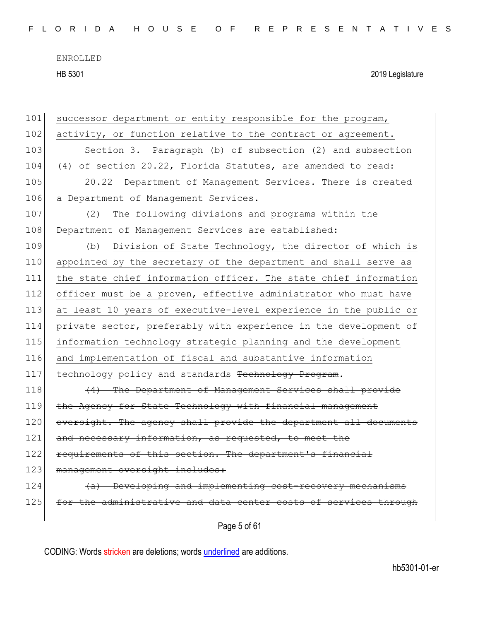| 101 | successor department or entity responsible for the program,      |
|-----|------------------------------------------------------------------|
| 102 | activity, or function relative to the contract or agreement.     |
| 103 | Section 3. Paragraph (b) of subsection (2) and subsection        |
| 104 | (4) of section 20.22, Florida Statutes, are amended to read:     |
| 105 | 20.22 Department of Management Services.-There is created        |
| 106 | a Department of Management Services.                             |
| 107 | The following divisions and programs within the<br>(2)           |
| 108 | Department of Management Services are established:               |
| 109 | Division of State Technology, the director of which is<br>(b)    |
| 110 | appointed by the secretary of the department and shall serve as  |
| 111 | the state chief information officer. The state chief information |
| 112 | officer must be a proven, effective administrator who must have  |
| 113 | at least 10 years of executive-level experience in the public or |
| 114 | private sector, preferably with experience in the development of |
| 115 | information technology strategic planning and the development    |
| 116 | and implementation of fiscal and substantive information         |
| 117 | technology policy and standards Technology Program.              |
| 118 | (4) The Department of Management Services shall provide          |
| 119 | the Agency for State Technology with financial management        |
| 120 | oversight. The agency shall provide the department all documents |
| 121 | and necessary information, as requested, to meet the             |
| 122 | requirements of this section. The department's financial         |
| 123 | management oversight includes:                                   |
| 124 | (a) Developing and implementing cost-recovery mechanisms         |
| 125 | for the administrative and data center costs of services through |
|     | Page 5 of 61                                                     |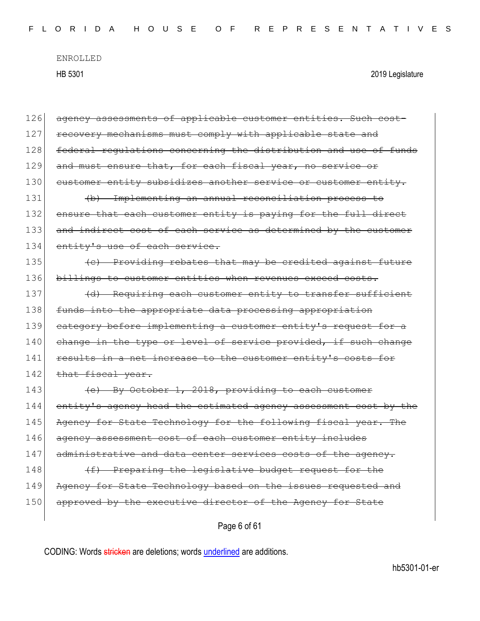| 126 | agency assessments of applicable customer entities. Such cost-   |
|-----|------------------------------------------------------------------|
| 127 | recovery mechanisms must comply with applicable state and        |
| 128 | federal requlations concerning the distribution and use of funds |
| 129 | and must ensure that, for each fiscal year, no service or        |
| 130 | eustomer entity subsidizes another service or customer entity.   |
| 131 | (b) Implementing an annual reconciliation process to             |
| 132 | ensure that each customer entity is paying for the full direct   |
| 133 | and indirect cost of each service as determined by the customer  |
| 134 | entity's use of each service.                                    |
| 135 | (c) Providing rebates that may be credited against future        |
| 136 | billings to customer entities when revenues exceed costs.        |
| 137 | (d) Requiring each customer entity to transfer sufficient        |
| 138 | funds into the appropriate data processing appropriation         |
| 139 | eategory before implementing a customer entity's request for a   |
| 140 | change in the type or level of service provided, if such change  |
| 141 | results in a net increase to the customer entity's costs for     |
| 142 | that fiscal year.                                                |
| 143 | (e) By October 1, 2018, providing to each customer               |
| 144 | entity's agency head the estimated agency assessment cost by the |
| 145 | Agency for State Technology for the following fiscal year. The   |
| 146 | agency assessment cost of each customer entity includes          |
| 147 | administrative and data center services costs of the agency.     |
| 148 | (f) Preparing the legislative budget request for the             |
| 149 | Agency for State Technology based on the issues requested and    |
| 150 | approved by the executive director of the Agency for State       |
|     | Page 6 of 61                                                     |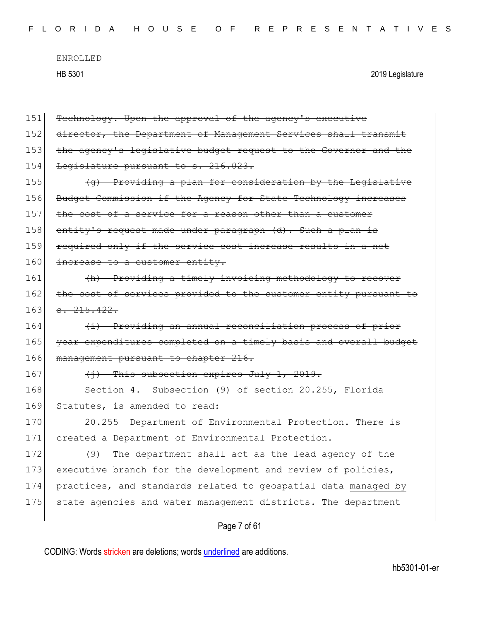| 151 | Technology. Upon the approval of the agency's executive          |
|-----|------------------------------------------------------------------|
| 152 | director, the Department of Management Services shall transmit   |
| 153 | the agency's legislative budget request to the Governor and the  |
| 154 | Legislature pursuant to s. 216.023.                              |
| 155 | (g) Providing a plan for consideration by the Legislative        |
| 156 | Budget Commission if the Agency for State Technology increases   |
| 157 | the cost of a service for a reason other than a customer         |
| 158 | entity's request made under paragraph (d). Such a plan is        |
| 159 | required only if the service cost increase results in a net      |
| 160 | increase to a customer entity.                                   |
| 161 | (h) Providing a timely invoicing methodology to recover          |
| 162 | the cost of services provided to the customer entity pursuant to |
| 163 | 3.215.422.                                                       |
| 164 | (i) Providing an annual reconciliation process of prior          |
| 165 | year expenditures completed on a timely basis and overall budget |
| 166 | management pursuant to chapter 216.                              |
| 167 | $(i)$ This subsection expires July 1, 2019.                      |
| 168 | Section 4. Subsection (9) of section 20.255, Florida             |
| 169 | Statutes, is amended to read:                                    |
| 170 | Department of Environmental Protection. - There is<br>20.255     |
| 171 | created a Department of Environmental Protection.                |
| 172 | (9)<br>The department shall act as the lead agency of the        |
| 173 | executive branch for the development and review of policies,     |
| 174 | practices, and standards related to geospatial data managed by   |
| 175 | state agencies and water management districts. The department    |
|     |                                                                  |

Page 7 of 61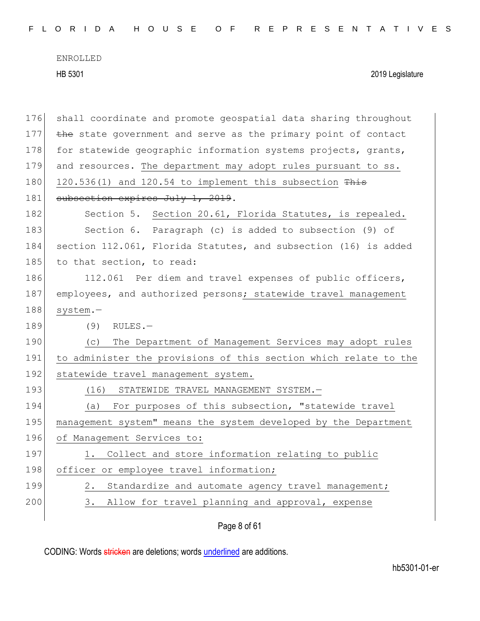| 176 | shall coordinate and promote geospatial data sharing throughout  |
|-----|------------------------------------------------------------------|
| 177 | the state government and serve as the primary point of contact   |
| 178 | for statewide geographic information systems projects, grants,   |
| 179 | and resources. The department may adopt rules pursuant to ss.    |
| 180 | 120.536(1) and 120.54 to implement this subsection This          |
| 181 | subsection expires July 1, 2019.                                 |
| 182 | Section 5. Section 20.61, Florida Statutes, is repealed.         |
| 183 | Section 6. Paragraph (c) is added to subsection (9) of           |
| 184 | section 112.061, Florida Statutes, and subsection (16) is added  |
| 185 | to that section, to read:                                        |
| 186 | 112.061 Per diem and travel expenses of public officers,         |
| 187 | employees, and authorized persons; statewide travel management   |
| 188 | system.-                                                         |
| 189 | (9)<br>$RULES -$                                                 |
| 190 | The Department of Management Services may adopt rules<br>(C)     |
| 191 | to administer the provisions of this section which relate to the |
| 192 | statewide travel management system.                              |
| 193 | (16)<br>STATEWIDE TRAVEL MANAGEMENT SYSTEM.-                     |
| 194 | For purposes of this subsection, "statewide travel<br>(a)        |
| 195 | management system" means the system developed by the Department  |
| 196 | of Management Services to:                                       |
| 197 | Collect and store information relating to public<br>$\perp$ .    |
| 198 | officer or employee travel information;                          |
| 199 | 2.<br>Standardize and automate agency travel management;         |
| 200 | Allow for travel planning and approval, expense<br>3.            |
|     |                                                                  |

Page 8 of 61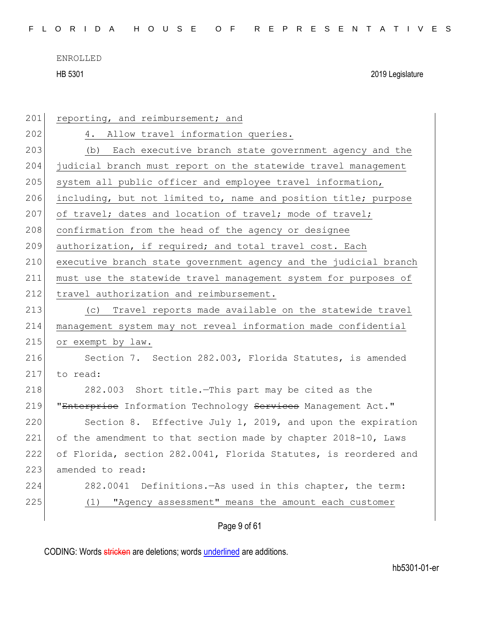| 201 | reporting, and reimbursement; and                                |
|-----|------------------------------------------------------------------|
| 202 | Allow travel information queries.<br>4.                          |
| 203 | (b) Each executive branch state government agency and the        |
| 204 | judicial branch must report on the statewide travel management   |
| 205 | system all public officer and employee travel information,       |
| 206 | including, but not limited to, name and position title; purpose  |
| 207 | of travel; dates and location of travel; mode of travel;         |
| 208 | confirmation from the head of the agency or designee             |
| 209 | authorization, if required; and total travel cost. Each          |
| 210 | executive branch state government agency and the judicial branch |
| 211 | must use the statewide travel management system for purposes of  |
| 212 | travel authorization and reimbursement.                          |
| 213 | Travel reports made available on the statewide travel<br>(C)     |
| 214 | management system may not reveal information made confidential   |
| 215 | or exempt by law.                                                |
| 216 | Section 7. Section 282.003, Florida Statutes, is amended         |
| 217 | to read:                                                         |
| 218 |                                                                  |
|     | 282.003 Short title.-This part may be cited as the               |
| 219 | "Enterprise Information Technology Services Management Act."     |
| 220 | Section 8. Effective July 1, 2019, and upon the expiration       |
| 221 | of the amendment to that section made by chapter 2018-10, Laws   |
| 222 | of Florida, section 282.0041, Florida Statutes, is reordered and |
| 223 | amended to read:                                                 |
| 224 | 282.0041<br>Definitions. - As used in this chapter, the term:    |
| 225 | "Agency assessment" means the amount each customer<br>(1)        |

Page 9 of 61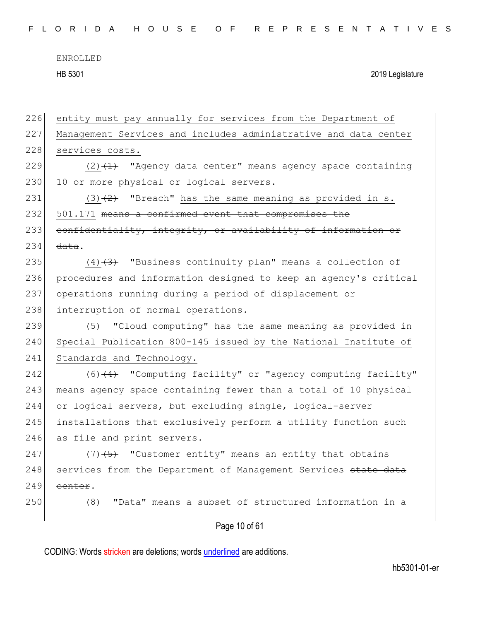| entity must pay annually for services from the Department of     |
|------------------------------------------------------------------|
| Management Services and includes administrative and data center  |
| services costs.                                                  |
| $(2)$ $(1)$ "Agency data center" means agency space containing   |
| 10 or more physical or logical servers.                          |
| $(3)$ $(2)$ "Breach" has the same meaning as provided in s.      |
| 501.171 means a confirmed event that compromises the             |
| confidentiality, integrity, or availability of information or    |
| data.                                                            |
| $(4)$ $(3)$ "Business continuity plan" means a collection of     |
| procedures and information designed to keep an agency's critical |
| operations running during a period of displacement or            |
| interruption of normal operations.                               |
| (5) "Cloud computing" has the same meaning as provided in        |
| Special Publication 800-145 issued by the National Institute of  |
| Standards and Technology.                                        |
| $(6)$ $(4)$ "Computing facility" or "agency computing facility"  |
| means agency space containing fewer than a total of 10 physical  |
| or logical servers, but excluding single, logical-server         |
| installations that exclusively perform a utility function such   |
| as file and print servers.                                       |
| $(7)$ +5) "Customer entity" means an entity that obtains         |
| services from the Department of Management Services state data   |
| eenter.                                                          |
| "Data" means a subset of structured information in a<br>(8)      |
| Page 10 of 61                                                    |
|                                                                  |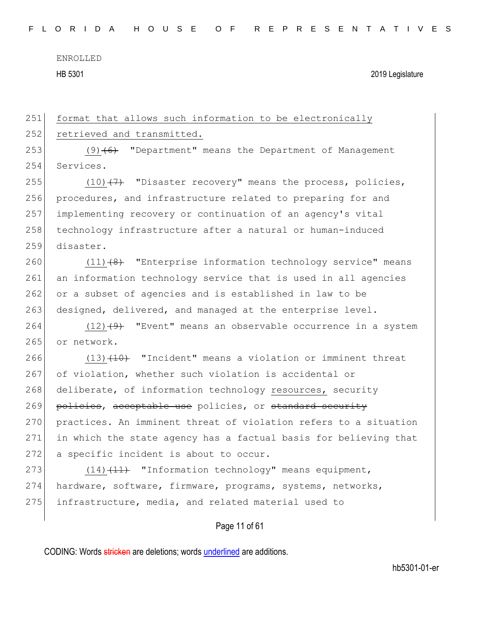HB 5301 2019 Legislature

251 format that allows such information to be electronically 252 retrieved and transmitted. 253 (9)<del>(6)</del> "Department" means the Department of Management

 Services.  $(10)$   $(7)$  "Disaster recovery" means the process, policies, 256 procedures, and infrastructure related to preparing for and implementing recovery or continuation of an agency's vital 258 technology infrastructure after a natural or human-induced disaster.

260  $(11)\left(8\right)$  "Enterprise information technology service" means 261 an information technology service that is used in all agencies 262 or a subset of agencies and is established in law to be 263 designed, delivered, and managed at the enterprise level.

264  $(12)$   $(9)$  "Event" means an observable occurrence in a system 265 or network.

266  $(13)$   $(10)$  "Incident" means a violation or imminent threat 267 of violation, whether such violation is accidental or 268 deliberate, of information technology resources, security 269 policies, acceptable use policies, or standard security 270 practices. An imminent threat of violation refers to a situation 271 in which the state agency has a factual basis for believing that 272 a specific incident is about to occur.

273  $(14)$   $(14)$  "Information technology" means equipment, 274 hardware, software, firmware, programs, systems, networks, 275 infrastructure, media, and related material used to

#### Page 11 of 61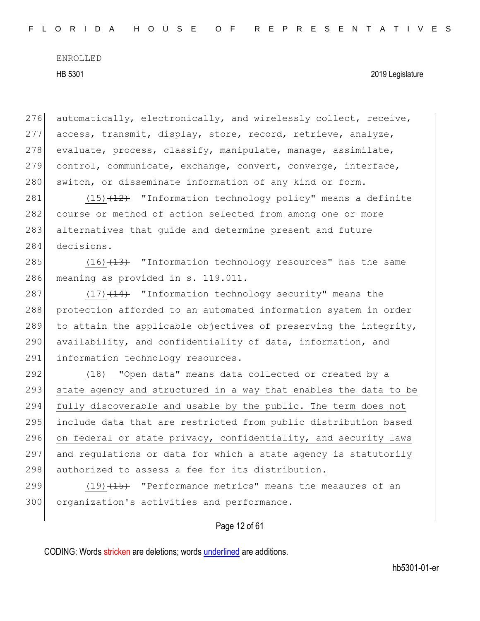276 automatically, electronically, and wirelessly collect, receive, 277 access, transmit, display, store, record, retrieve, analyze, 278 evaluate, process, classify, manipulate, manage, assimilate, 279 control, communicate, exchange, convert, converge, interface, 280 switch, or disseminate information of any kind or form.

281 (15)<del>(12)</del> "Information technology policy" means a definite 282 course or method of action selected from among one or more 283 alternatives that quide and determine present and future 284 decisions.

285  $(16)$   $(13)$  "Information technology resources" has the same 286 meaning as provided in s. 119.011.

287 (17)<del>(14)</del> "Information technology security" means the 288 protection afforded to an automated information system in order 289 to attain the applicable objectives of preserving the integrity, 290 availability, and confidentiality of data, information, and 291 information technology resources.

292 (18) "Open data" means data collected or created by a 293 state agency and structured in a way that enables the data to be 294 fully discoverable and usable by the public. The term does not 295 | include data that are restricted from public distribution based 296 on federal or state privacy, confidentiality, and security laws 297 and regulations or data for which a state agency is statutorily 298 authorized to assess a fee for its distribution.

299 (19)<del>(15)</del> "Performance metrics" means the measures of an 300 organization's activities and performance.

#### Page 12 of 61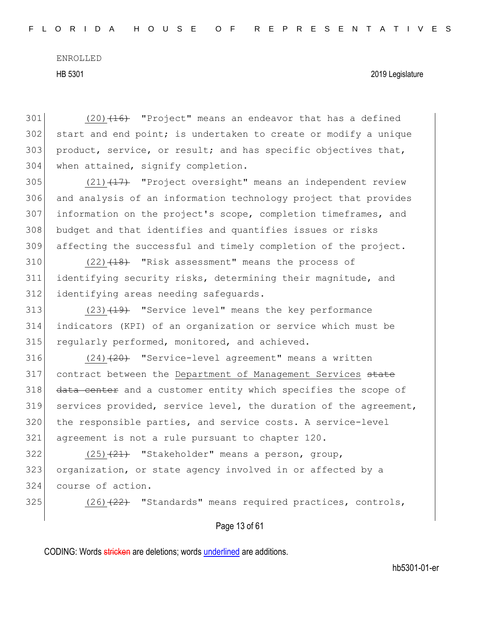#### HB 5301 2019 Legislature

 $301$  (20)<del>(16)</del> "Project" means an endeavor that has a defined 302 start and end point; is undertaken to create or modify a unique 303 product, service, or result; and has specific objectives that, 304 when attained, signify completion.

 $(21)$   $(17)$  "Project oversight" means an independent review and analysis of an information technology project that provides information on the project's scope, completion timeframes, and 308 budget and that identifies and quantifies issues or risks affecting the successful and timely completion of the project.

 $310$  (22) $\left(18\right)$  "Risk assessment" means the process of 311 identifying security risks, determining their magnitude, and 312 identifying areas needing safeguards.

313  $(23)$   $(19)$  "Service level" means the key performance 314 indicators (KPI) of an organization or service which must be 315 regularly performed, monitored, and achieved.

 $(24)$   $(24)$  "Service-level agreement" means a written 317 contract between the Department of Management Services state 318 data center and a customer entity which specifies the scope of services provided, service level, the duration of the agreement, the responsible parties, and service costs. A service-level agreement is not a rule pursuant to chapter 120.

 $322$  (25)<del>(21)</del> "Stakeholder" means a person, group, 323 organization, or state agency involved in or affected by a 324 course of action.

325  $(26)$   $(22)$  "Standards" means required practices, controls,

#### Page 13 of 61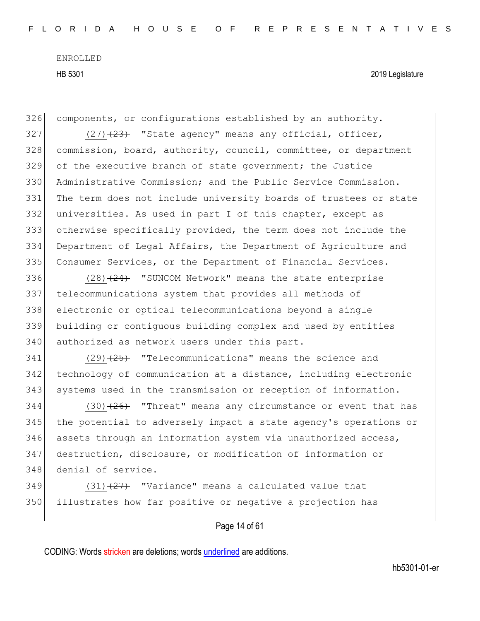HB 5301 2019 Legislature

326 components, or configurations established by an authority.

 $(27)$   $(23)$  "State agency" means any official, officer, commission, board, authority, council, committee, or department of the executive branch of state government; the Justice Administrative Commission; and the Public Service Commission. 331 The term does not include university boards of trustees or state universities. As used in part I of this chapter, except as otherwise specifically provided, the term does not include the Department of Legal Affairs, the Department of Agriculture and Consumer Services, or the Department of Financial Services.

 $(28)$   $(24)$  "SUNCOM Network" means the state enterprise telecommunications system that provides all methods of electronic or optical telecommunications beyond a single building or contiguous building complex and used by entities 340 authorized as network users under this part.

341  $(29)$   $(25)$  "Telecommunications" means the science and 342 technology of communication at a distance, including electronic 343 systems used in the transmission or reception of information.

 $344$  (30) $(26)$  "Threat" means any circumstance or event that has 345 the potential to adversely impact a state agency's operations or  $346$  assets through an information system via unauthorized access, 347 destruction, disclosure, or modification of information or 348 denial of service.

 $349$  (31) $\left(27\right)$  "Variance" means a calculated value that 350 illustrates how far positive or negative a projection has

Page 14 of 61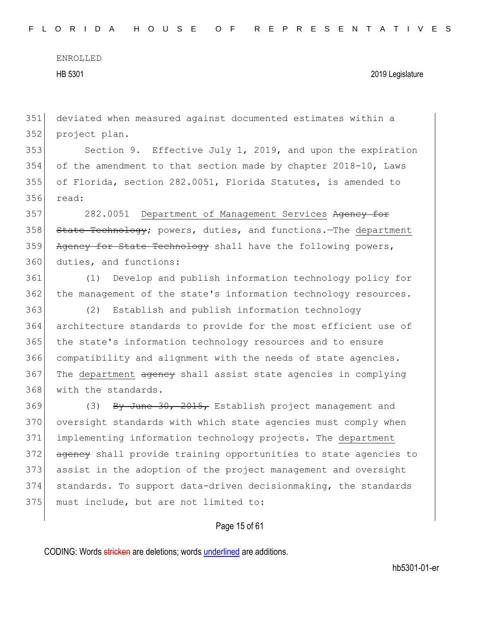HB 5301 2019 Legislature

351 deviated when measured against documented estimates within a 352 project plan.

 Section 9. Effective July 1, 2019, and upon the expiration of the amendment to that section made by chapter 2018-10, Laws of Florida, section 282.0051, Florida Statutes, is amended to 356 read:

357 282.0051 Department of Management Services Agency for 358 State Technology; powers, duties, and functions. The department 359 Agency for State Technology shall have the following powers, 360 duties, and functions:

361 (1) Develop and publish information technology policy for 362 the management of the state's information technology resources.

 (2) Establish and publish information technology architecture standards to provide for the most efficient use of the state's information technology resources and to ensure 366 compatibility and alignment with the needs of state agencies. 367 The department agency shall assist state agencies in complying with the standards.

 (3) By June  $30$ ,  $2015$ , Establish project management and oversight standards with which state agencies must comply when implementing information technology projects. The department 372 agency shall provide training opportunities to state agencies to assist in the adoption of the project management and oversight standards. To support data-driven decisionmaking, the standards 375 must include, but are not limited to:

#### Page 15 of 61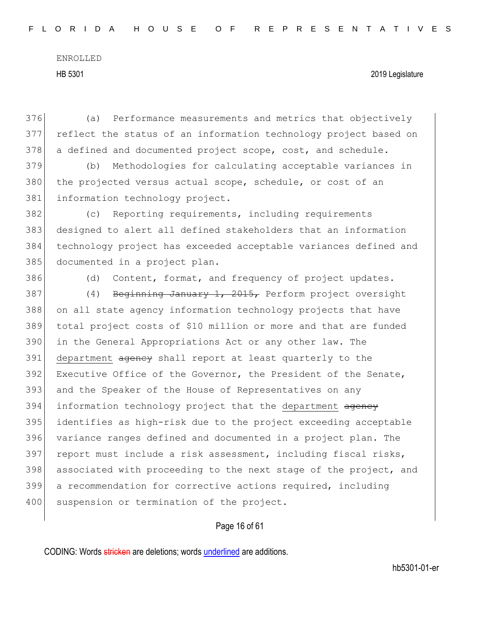376 (a) Performance measurements and metrics that objectively 377 reflect the status of an information technology project based on 378 a defined and documented project scope, cost, and schedule.

379 (b) Methodologies for calculating acceptable variances in 380 the projected versus actual scope, schedule, or cost of an 381 information technology project.

 (c) Reporting requirements, including requirements designed to alert all defined stakeholders that an information technology project has exceeded acceptable variances defined and 385 documented in a project plan.

386 (d) Content, format, and frequency of project updates.

387 (4) Beginning January 1, 2015, Perform project oversight 388 on all state agency information technology projects that have 389 total project costs of \$10 million or more and that are funded 390 in the General Appropriations Act or any other law. The 391 department agency shall report at least quarterly to the 392 Executive Office of the Governor, the President of the Senate, 393 and the Speaker of the House of Representatives on any 394 information technology project that the department agency 395 identifies as high-risk due to the project exceeding acceptable 396 variance ranges defined and documented in a project plan. The 397 report must include a risk assessment, including fiscal risks, 398 associated with proceeding to the next stage of the project, and 399 a recommendation for corrective actions required, including 400 suspension or termination of the project.

#### Page 16 of 61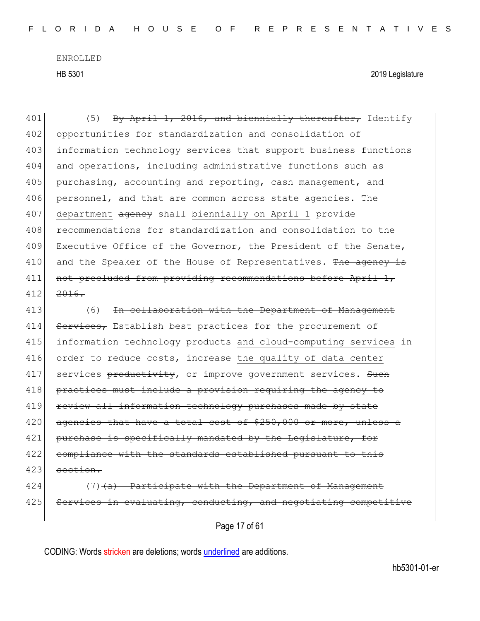HB 5301 2019 Legislature

401  $(5)$  By April 1, 2016, and biennially thereafter, Identify 402 opportunities for standardization and consolidation of 403 information technology services that support business functions 404 and operations, including administrative functions such as 405 purchasing, accounting and reporting, cash management, and 406 personnel, and that are common across state agencies. The 407 department agency shall biennially on April 1 provide 408 recommendations for standardization and consolidation to the 409 Executive Office of the Governor, the President of the Senate, 410 and the Speaker of the House of Representatives. The agency is 411 not precluded from providing recommendations before April 1, 412 <del>2016.</del>

413 (6) In collaboration with the Department of Management 414 Services, Establish best practices for the procurement of 415 information technology products and cloud-computing services in 416 order to reduce costs, increase the quality of data center 417 services productivity, or improve government services. Such 418 practices must include a provision requiring the agency to 419 review all information technology purchases made by state  $420$  agencies that have a total cost of \$250,000 or more, unless a 421 purchase is specifically mandated by the Legislature, for 422 compliance with the standards established pursuant to this  $423$  section.

 $424$  (7)  $(a)$  Participate with the Department of Management 425 Services in evaluating, conducting, and negotiating competitive

Page 17 of 61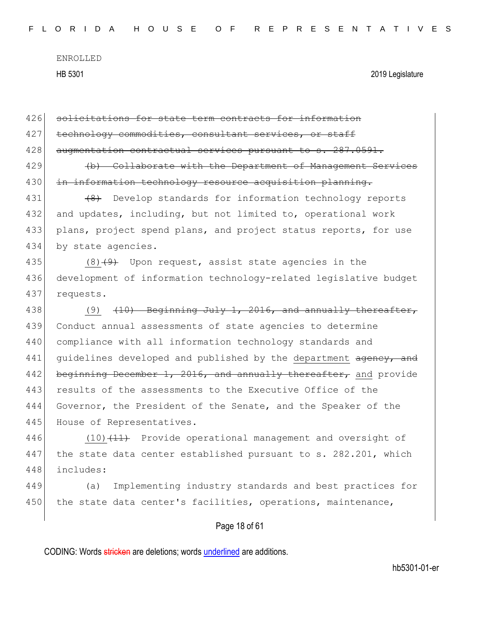| 426 | solicitations for state term contracts for information           |
|-----|------------------------------------------------------------------|
| 427 | technology commodities, consultant services, or staff            |
| 428 | augmentation contractual services pursuant to s. 287.0591.       |
| 429 | (b) Collaborate with the Department of Management Services       |
| 430 | in information technology resource acquisition planning.         |
| 431 | Develop standards for information technology reports<br>$+8$     |
| 432 | and updates, including, but not limited to, operational work     |
| 433 | plans, project spend plans, and project status reports, for use  |
| 434 | by state agencies.                                               |
| 435 | $(8)$ $(9)$ Upon request, assist state agencies in the           |
| 436 | development of information technology-related legislative budget |
| 437 | requests.                                                        |
| 438 | $(10)$ Beginning July 1, 2016, and annually thereafter,<br>(9)   |
| 439 | Conduct annual assessments of state agencies to determine        |
| 440 | compliance with all information technology standards and         |
| 441 | guidelines developed and published by the department agency, and |
| 442 | beginning December 1, 2016, and annually thereafter, and provide |
| 443 | results of the assessments to the Executive Office of the        |
| 444 | Governor, the President of the Senate, and the Speaker of the    |
| 445 | House of Representatives.                                        |
| 446 | $(10)$ $(11)$ Provide operational management and oversight of    |
| 447 | the state data center established pursuant to s. 282.201, which  |
| 448 | includes:                                                        |
| 449 | Implementing industry standards and best practices for<br>(a)    |
| 450 | the state data center's facilities, operations, maintenance,     |
|     |                                                                  |

## Page 18 of 61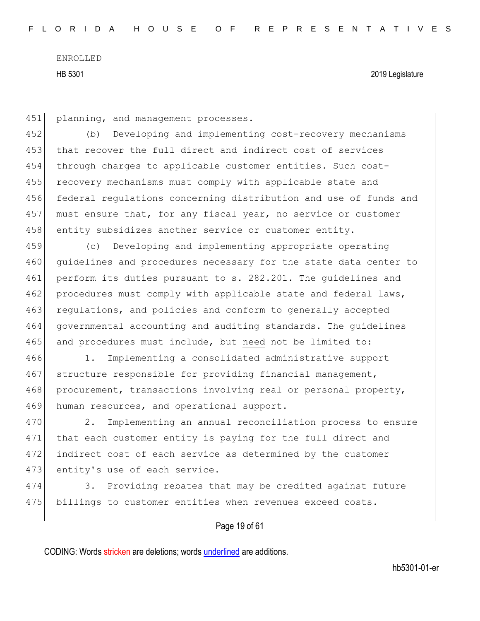451 planning, and management processes.

452 (b) Developing and implementing cost-recovery mechanisms 453 that recover the full direct and indirect cost of services 454 through charges to applicable customer entities. Such cost-455 recovery mechanisms must comply with applicable state and 456 federal regulations concerning distribution and use of funds and 457 must ensure that, for any fiscal year, no service or customer 458 entity subsidizes another service or customer entity.

459 (c) Developing and implementing appropriate operating 460 quidelines and procedures necessary for the state data center to 461 perform its duties pursuant to s. 282.201. The guidelines and 462 procedures must comply with applicable state and federal laws, 463 regulations, and policies and conform to generally accepted 464 governmental accounting and auditing standards. The guidelines 465 and procedures must include, but need not be limited to:

466 1. Implementing a consolidated administrative support 467 structure responsible for providing financial management, 468 procurement, transactions involving real or personal property, 469 human resources, and operational support.

470 2. Implementing an annual reconciliation process to ensure 471 that each customer entity is paying for the full direct and 472 indirect cost of each service as determined by the customer 473 entity's use of each service.

474 3. Providing rebates that may be credited against future 475 billings to customer entities when revenues exceed costs.

#### Page 19 of 61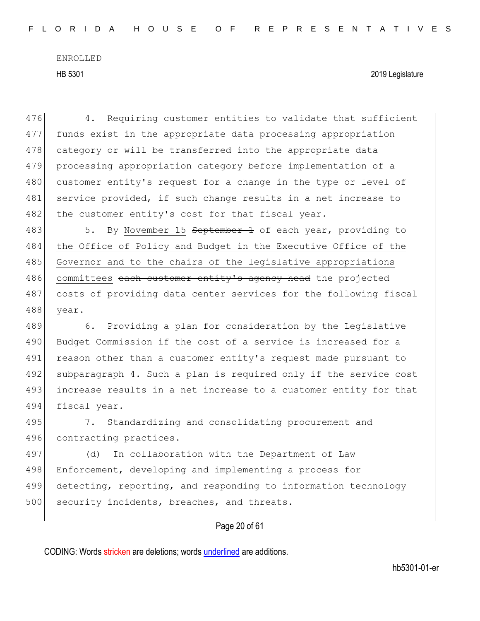476 4. Requiring customer entities to validate that sufficient 477 funds exist in the appropriate data processing appropriation 478 category or will be transferred into the appropriate data 479 processing appropriation category before implementation of a 480 customer entity's request for a change in the type or level of 481 service provided, if such change results in a net increase to 482 the customer entity's cost for that fiscal year.

483 5. By November 15 September 1 of each year, providing to 484 the Office of Policy and Budget in the Executive Office of the 485 Governor and to the chairs of the legislative appropriations 486 committees each customer entity's agency head the projected 487 costs of providing data center services for the following fiscal 488 year.

489 6. Providing a plan for consideration by the Legislative 490 Budget Commission if the cost of a service is increased for a 491 reason other than a customer entity's request made pursuant to 492 subparagraph 4. Such a plan is required only if the service cost 493 increase results in a net increase to a customer entity for that 494 fiscal year.

495 7. Standardizing and consolidating procurement and 496 contracting practices.

497 (d) In collaboration with the Department of Law 498 Enforcement, developing and implementing a process for 499 detecting, reporting, and responding to information technology 500 security incidents, breaches, and threats.

#### Page 20 of 61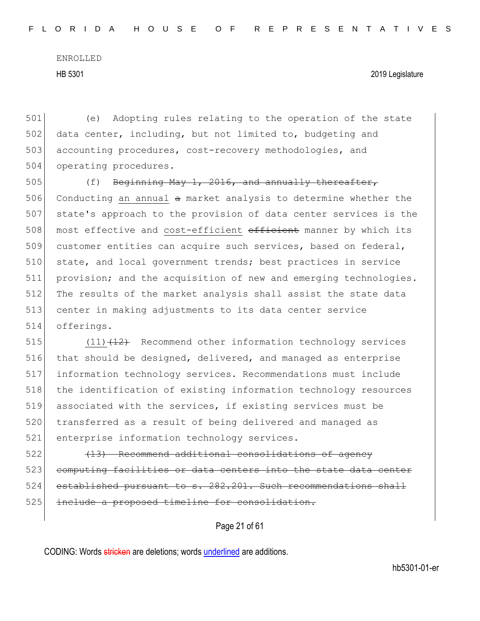#### HB 5301 2019 Legislature

501 (e) Adopting rules relating to the operation of the state 502 data center, including, but not limited to, budgeting and 503 accounting procedures, cost-recovery methodologies, and 504 operating procedures.

505 (f) Beginning May 1, 2016, and annually thereafter, 506 Conducting an annual a market analysis to determine whether the 507 state's approach to the provision of data center services is the 508 most effective and cost-efficient efficient manner by which its 509 customer entities can acquire such services, based on federal, 510 state, and local government trends; best practices in service 511 provision; and the acquisition of new and emerging technologies. 512 The results of the market analysis shall assist the state data 513 center in making adjustments to its data center service 514 offerings.

515  $(11)$   $(12)$  Recommend other information technology services 516 | that should be designed, delivered, and managed as enterprise 517 information technology services. Recommendations must include 518 the identification of existing information technology resources 519 associated with the services, if existing services must be 520 transferred as a result of being delivered and managed as 521 enterprise information technology services.

522 (13) Recommend additional consolidations of agency 523 computing facilities or data centers into the state data center 524 established pursuant to s. 282.201. Such recommendations shall 525 include a proposed timeline for consolidation.

Page 21 of 61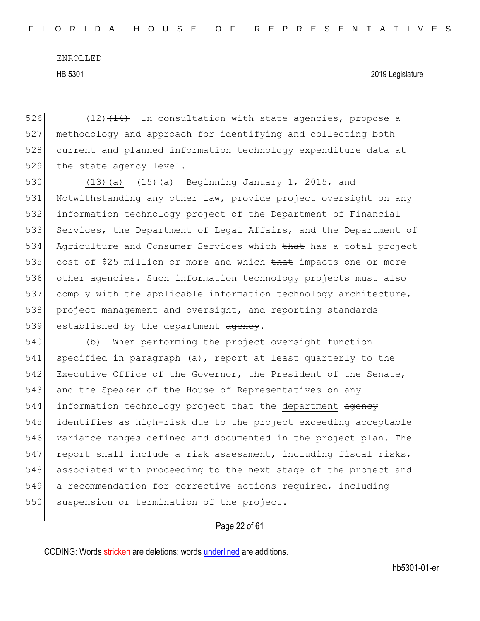HB 5301 2019 Legislature

 $(12)$   $(14)$  In consultation with state agencies, propose a methodology and approach for identifying and collecting both current and planned information technology expenditure data at 529 the state agency level.

530 (13)(a)  $(15)(a)$  Beginning January 1, 2015, and 531 Notwithstanding any other law, provide project oversight on any 532 information technology project of the Department of Financial 533 Services, the Department of Legal Affairs, and the Department of 534 Agriculture and Consumer Services which that has a total project 535 cost of \$25 million or more and which that impacts one or more 536 other agencies. Such information technology projects must also 537 comply with the applicable information technology architecture, 538 project management and oversight, and reporting standards 539 established by the department agency.

540 (b) When performing the project oversight function 541 specified in paragraph (a), report at least quarterly to the 542 Executive Office of the Governor, the President of the Senate, 543 and the Speaker of the House of Representatives on any 544 information technology project that the department agency 545 identifies as high-risk due to the project exceeding acceptable 546 variance ranges defined and documented in the project plan. The 547 report shall include a risk assessment, including fiscal risks, 548 associated with proceeding to the next stage of the project and 549 a recommendation for corrective actions required, including 550 suspension or termination of the project.

#### Page 22 of 61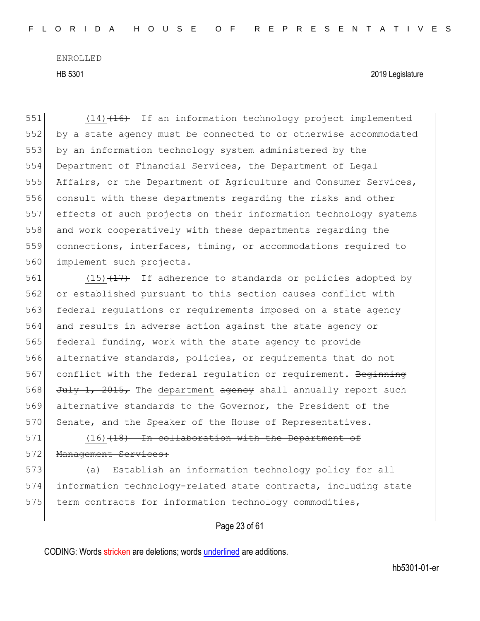HB 5301 2019 Legislature

551 (14)<del>(16)</del> If an information technology project implemented by a state agency must be connected to or otherwise accommodated by an information technology system administered by the Department of Financial Services, the Department of Legal Affairs, or the Department of Agriculture and Consumer Services, 556 consult with these departments regarding the risks and other effects of such projects on their information technology systems and work cooperatively with these departments regarding the connections, interfaces, timing, or accommodations required to 560 implement such projects.

561 (15) $\left(17\right)$  If adherence to standards or policies adopted by 562 or established pursuant to this section causes conflict with 563 federal regulations or requirements imposed on a state agency 564 and results in adverse action against the state agency or 565 federal funding, work with the state agency to provide 566 alternative standards, policies, or requirements that do not 567 conflict with the federal regulation or requirement. Beginning 568  $J^{\text{ul}}$   $J^{\text{ul}}$ ,  $2015$ , The department agency shall annually report such 569 alternative standards to the Governor, the President of the 570 Senate, and the Speaker of the House of Representatives.

571 (16)<del>(18) In collaboration with the Department of</del> 572 Management Services:

573 (a) Establish an information technology policy for all 574 information technology-related state contracts, including state 575 term contracts for information technology commodities,

#### Page 23 of 61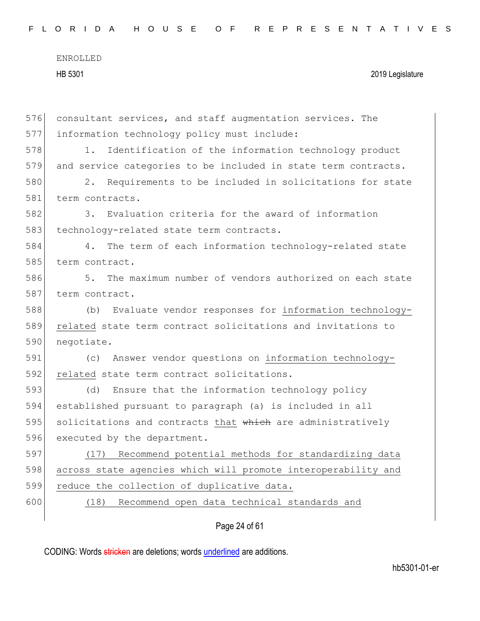|  |  |  |  |  |  | FLORIDA HOUSE OF REPRESENTATIVES |  |  |  |  |  |  |  |  |  |
|--|--|--|--|--|--|----------------------------------|--|--|--|--|--|--|--|--|--|
|  |  |  |  |  |  |                                  |  |  |  |  |  |  |  |  |  |

| 576 | consultant services, and staff augmentation services. The      |
|-----|----------------------------------------------------------------|
| 577 | information technology policy must include:                    |
| 578 | 1.<br>Identification of the information technology product     |
| 579 | and service categories to be included in state term contracts. |
| 580 | Requirements to be included in solicitations for state<br>2.   |
| 581 | term contracts.                                                |
| 582 | Evaluation criteria for the award of information<br>3.         |
| 583 | technology-related state term contracts.                       |
| 584 | The term of each information technology-related state<br>4.    |
| 585 | term contract.                                                 |
| 586 | The maximum number of vendors authorized on each state<br>5.   |
| 587 | term contract.                                                 |
| 588 | Evaluate vendor responses for information technology-<br>(b)   |
| 589 | related state term contract solicitations and invitations to   |
| 590 | negotiate.                                                     |
| 591 | Answer vendor questions on information technology-<br>(C)      |
| 592 | related state term contract solicitations.                     |
| 593 | Ensure that the information technology policy<br>(d)           |
| 594 | established pursuant to paragraph (a) is included in all       |
| 595 | solicitations and contracts that which are administratively    |
| 596 | executed by the department.                                    |
| 597 | Recommend potential methods for standardizing data<br>(17)     |
| 598 | across state agencies which will promote interoperability and  |
| 599 | reduce the collection of duplicative data.                     |
| 600 | Recommend open data technical standards and<br>(18)            |
|     | Page 24 of 61                                                  |
|     |                                                                |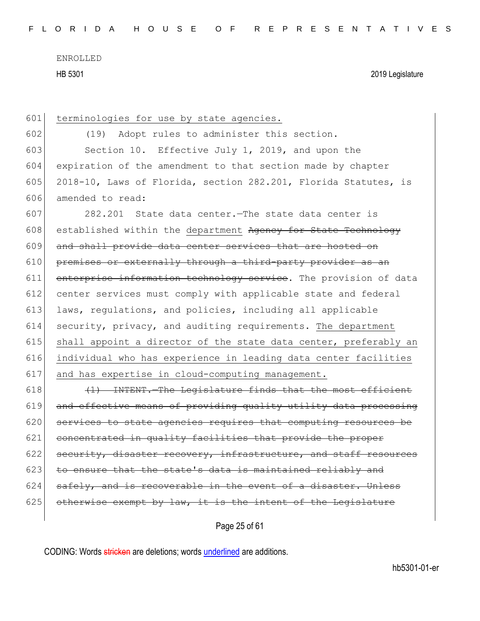HB 5301 2019 Legislature

601 terminologies for use by state agencies. 602 (19) Adopt rules to administer this section. 603 Section 10. Effective July 1, 2019, and upon the 604 expiration of the amendment to that section made by chapter 605 2018-10, Laws of Florida, section  $282.201$ , Florida Statutes, is 606 amended to read: 607 282.201 State data center.—The state data center is 608 established within the department Agency for State Technology 609 and shall provide data center services that are hosted on 610 premises or externally through a third-party provider as an 611 enterprise information technology service. The provision of data 612 center services must comply with applicable state and federal 613 laws, regulations, and policies, including all applicable 614 security, privacy, and auditing requirements. The department 615 shall appoint a director of the state data center, preferably an 616 individual who has experience in leading data center facilities 617 and has expertise in cloud-computing management. 618  $(1)$  INTENT. The Legislature finds that the most efficient 619 and effective means of providing quality utility data processing 620 services to state agencies requires that computing resources be 621 concentrated in quality facilities that provide the proper  $622$  security, disaster recovery, infrastructure, and staff resources 623 to ensure that the state's data is maintained reliably and  $624$  safely, and is recoverable in the event of a disaster. Unless  $625$  otherwise exempt by law, it is the intent of the Legislature

Page 25 of 61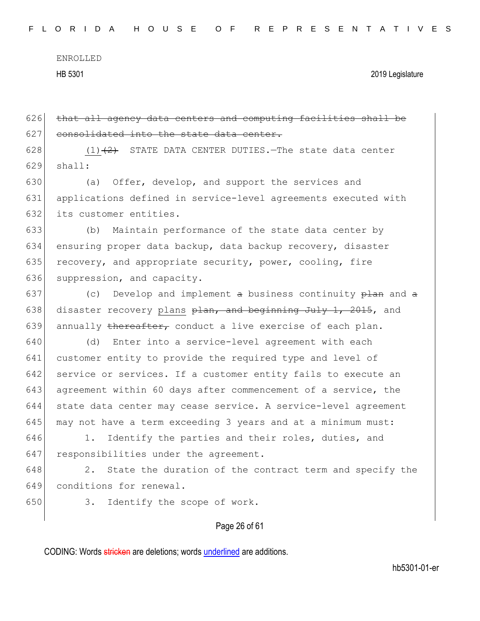Page 26 of 61  $626$  that all agency data centers and computing facilities shall be 627 consolidated into the state data center. 628  $(1)(2)$  STATE DATA CENTER DUTIES. The state data center  $629$  shall: 630 (a) Offer, develop, and support the services and 631 applications defined in service-level agreements executed with 632 its customer entities. 633 (b) Maintain performance of the state data center by 634 ensuring proper data backup, data backup recovery, disaster 635 recovery, and appropriate security, power, cooling, fire 636 suppression, and capacity. 637 (c) Develop and implement a business continuity  $\frac{1}{p}$  and a 638 disaster recovery plans plan, and beginning July 1, 2015, and 639 annually thereafter, conduct a live exercise of each plan. 640 (d) Enter into a service-level agreement with each 641 customer entity to provide the required type and level of 642 service or services. If a customer entity fails to execute an 643 agreement within 60 days after commencement of a service, the 644 state data center may cease service. A service-level agreement 645 may not have a term exceeding 3 years and at a minimum must: 646 1. Identify the parties and their roles, duties, and 647 responsibilities under the agreement.  $648$  2. State the duration of the contract term and specify the 649 conditions for renewal. 650 3. Identify the scope of work.

CODING: Words stricken are deletions; words underlined are additions.

hb5301-01-er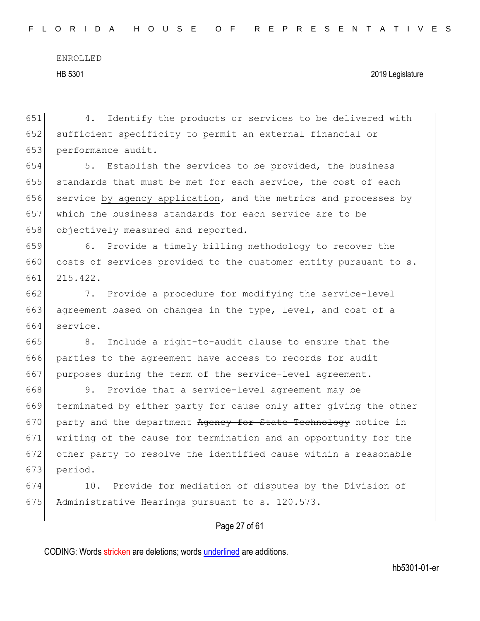651 4. Identify the products or services to be delivered with 652 sufficient specificity to permit an external financial or 653 performance audit.

654 5. Establish the services to be provided, the business 655 standards that must be met for each service, the cost of each 656 service by agency application, and the metrics and processes by 657 which the business standards for each service are to be 658 objectively measured and reported.

659 6. Provide a timely billing methodology to recover the 660 costs of services provided to the customer entity pursuant to s. 661 215.422.

662 7. Provide a procedure for modifying the service-level 663 agreement based on changes in the type, level, and cost of a 664 service.

665 8. Include a right-to-audit clause to ensure that the 666 parties to the agreement have access to records for audit 667 purposes during the term of the service-level agreement.

668 9. Provide that a service-level agreement may be 669 terminated by either party for cause only after giving the other 670 party and the department Agency for State Technology notice in 671 writing of the cause for termination and an opportunity for the 672 other party to resolve the identified cause within a reasonable 673 period.

674 10. Provide for mediation of disputes by the Division of 675 Administrative Hearings pursuant to s. 120.573.

#### Page 27 of 61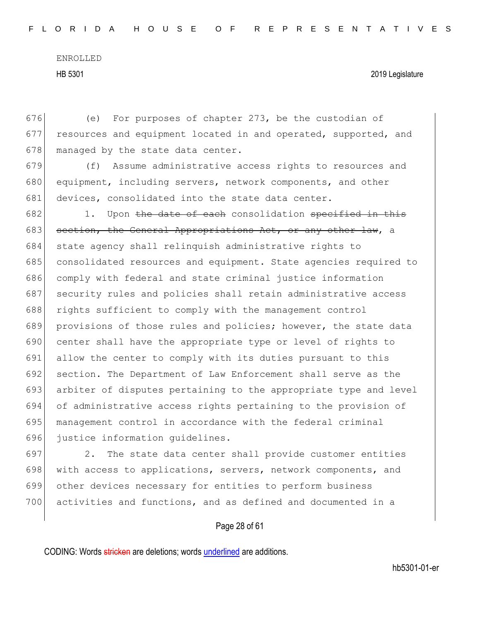676 (e) For purposes of chapter 273, be the custodian of 677 resources and equipment located in and operated, supported, and 678 managed by the state data center.

679 (f) Assume administrative access rights to resources and 680 equipment, including servers, network components, and other 681 devices, consolidated into the state data center.

 1. Upon the date of each consolidation specified in this 683 section, the General Appropriations Act, or any other law, a 684 state agency shall relinquish administrative rights to consolidated resources and equipment. State agencies required to comply with federal and state criminal justice information 687 security rules and policies shall retain administrative access 688 rights sufficient to comply with the management control 689 provisions of those rules and policies; however, the state data center shall have the appropriate type or level of rights to allow the center to comply with its duties pursuant to this section. The Department of Law Enforcement shall serve as the arbiter of disputes pertaining to the appropriate type and level of administrative access rights pertaining to the provision of management control in accordance with the federal criminal justice information guidelines.

 2. The state data center shall provide customer entities 698 with access to applications, servers, network components, and other devices necessary for entities to perform business activities and functions, and as defined and documented in a

#### Page 28 of 61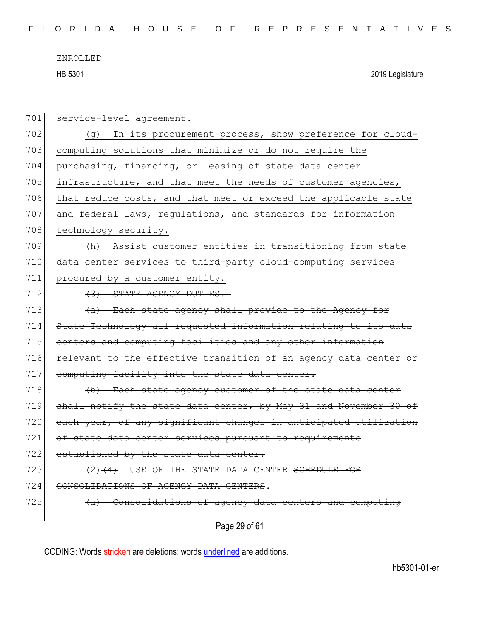| 701 | service-level agreement.                                         |
|-----|------------------------------------------------------------------|
| 702 | In its procurement process, show preference for cloud-<br>(q)    |
| 703 | computing solutions that minimize or do not require the          |
| 704 | purchasing, financing, or leasing of state data center           |
| 705 | infrastructure, and that meet the needs of customer agencies,    |
| 706 | that reduce costs, and that meet or exceed the applicable state  |
| 707 | and federal laws, regulations, and standards for information     |
| 708 | technology security.                                             |
| 709 | Assist customer entities in transitioning from state<br>(h)      |
| 710 | data center services to third-party cloud-computing services     |
| 711 | procured by a customer entity.                                   |
| 712 | (3) STATE AGENCY DUTIES.-                                        |
| 713 | (a) Each state agency shall provide to the Agency for            |
| 714 | State Technology all requested information relating to its data  |
| 715 | centers and computing facilities and any other information       |
| 716 | relevant to the effective transition of an agency data center or |
| 717 | computing facility into the state data center.                   |
| 718 | (b) Each state agency customer of the state data center          |
| 719 | shall notify the state data center, by May 31 and November 30 of |
| 720 | each year, of any significant changes in anticipated utilization |
| 721 | of state data center services pursuant to requirements           |
| 722 | established by the state data center.                            |
| 723 | USE OF THE STATE DATA CENTER SCHEDULE FOR<br>$(2) + 4$           |
| 724 | CONSOLIDATIONS OF AGENCY DATA CENTERS.-                          |
| 725 | Consolidations of agency data centers and computing              |
|     | Page 29 of 61                                                    |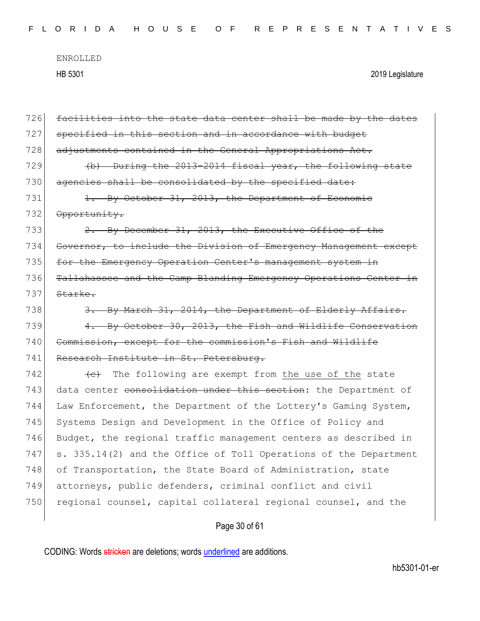| FLORIDA HOUSE OF REPRESENTATIVES |  |  |  |  |  |  |  |  |  |  |  |  |  |  |  |  |  |  |  |  |  |  |  |  |  |  |  |  |  |  |  |
|----------------------------------|--|--|--|--|--|--|--|--|--|--|--|--|--|--|--|--|--|--|--|--|--|--|--|--|--|--|--|--|--|--|--|
|----------------------------------|--|--|--|--|--|--|--|--|--|--|--|--|--|--|--|--|--|--|--|--|--|--|--|--|--|--|--|--|--|--|--|

| 726 | facilities into the state data center shall be made by the dates   |
|-----|--------------------------------------------------------------------|
| 727 | specified in this section and in accordance with budget            |
| 728 | adjustments contained in the General Appropriations Act.           |
| 729 | (b) During the 2013-2014 fiscal year, the following state          |
| 730 | agencies shall be consolidated by the specified date:              |
| 731 | 1. By October 31, 2013, the Department of Economic                 |
| 732 | Opportunity.                                                       |
| 733 | 2. By December 31, 2013, the Executive Office of the               |
| 734 | Governor, to include the Division of Emergency Management except   |
| 735 | for the Emergency Operation Center's management system in          |
| 736 | Tallahassee and the Camp Blanding Emergency Operations Center in   |
| 737 | Starke.                                                            |
| 738 | 3. By March 31, 2014, the Department of Elderly Affairs.           |
| 739 | 4. By October 30, 2013, the Fish and Wildlife Conservation         |
| 740 | Commission, except for the commission's Fish and Wildlife          |
| 741 | Research Institute in St. Petersburg.                              |
| 742 | The following are exempt from the use of the state<br>$\leftarrow$ |
| 743 | data center consolidation under this section: the Department of    |
| 744 | Law Enforcement, the Department of the Lottery's Gaming System,    |
| 745 | Systems Design and Development in the Office of Policy and         |
| 746 | Budget, the regional traffic management centers as described in    |
| 747 | s. 335.14(2) and the Office of Toll Operations of the Department   |
| 748 | of Transportation, the State Board of Administration, state        |
| 749 | attorneys, public defenders, criminal conflict and civil           |
| 750 | regional counsel, capital collateral regional counsel, and the     |
|     |                                                                    |

# Page 30 of 61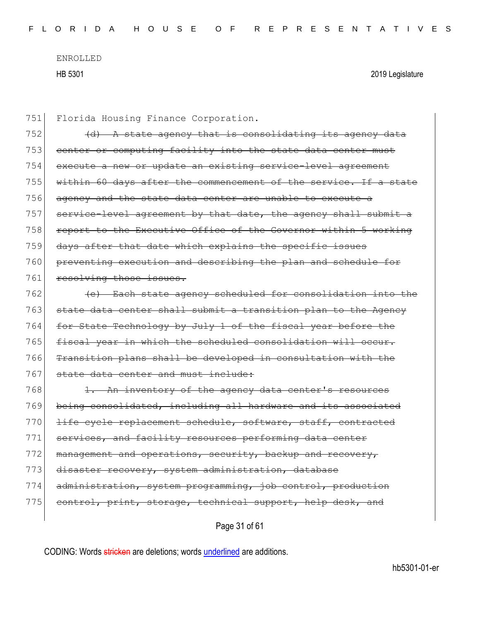| 751 | Florida Housing Finance Corporation.                             |
|-----|------------------------------------------------------------------|
| 752 | (d) A state agency that is consolidating its agency data         |
| 753 | center or computing facility into the state data center must     |
| 754 | execute a new or update an existing service-level agreement      |
| 755 | within 60 days after the commencement of the service. If a state |
| 756 | agency and the state data center are unable to execute a         |
| 757 | service-level agreement by that date, the agency shall submit a  |
| 758 | report to the Executive Office of the Governor within 5 working  |
| 759 | days after that date which explains the specific issues          |
| 760 | preventing execution and describing the plan and schedule for    |
| 761 | resolving those issues.                                          |
| 762 | (e) Each state agency scheduled for consolidation into the       |
| 763 | state data center shall submit a transition plan to the Agency   |
| 764 | for State Technology by July 1 of the fiscal year before the     |
| 765 | fiscal year in which the scheduled consolidation will occur.     |
| 766 | Transition plans shall be developed in consultation with the     |
| 767 | state data center and must include:                              |
| 768 | 1. An inventory of the agency data center's resources            |
| 769 | being consolidated, including all hardware and its associated    |
| 770 | life cycle replacement schedule, software, staff, contracted     |
| 771 | services, and facility resources performing data center          |
| 772 | management and operations, security, backup and recovery,        |
| 773 | disaster recovery, system administration, database               |
| 774 | administration, system programming, job control, production      |
| 775 | control, print, storage, technical support, help desk, and       |
|     |                                                                  |

Page 31 of 61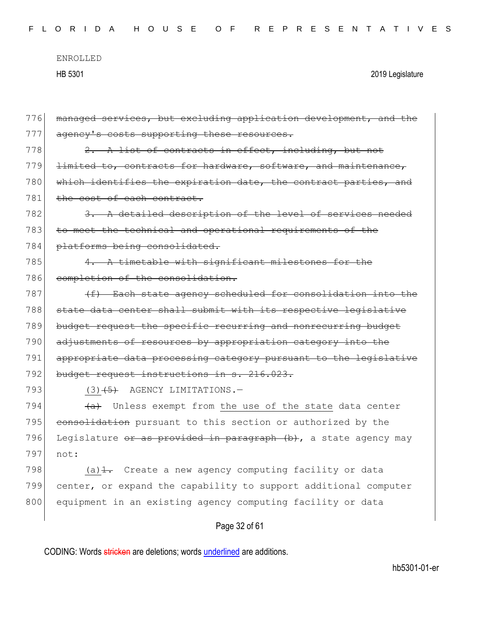| FLORIDA HOUSE OF REPRESENTATIVES |  |  |  |  |  |  |  |  |  |  |  |  |  |  |  |  |  |  |  |  |  |  |  |  |  |  |  |  |  |  |  |
|----------------------------------|--|--|--|--|--|--|--|--|--|--|--|--|--|--|--|--|--|--|--|--|--|--|--|--|--|--|--|--|--|--|--|
|----------------------------------|--|--|--|--|--|--|--|--|--|--|--|--|--|--|--|--|--|--|--|--|--|--|--|--|--|--|--|--|--|--|--|

| 776 | managed services, but excluding application development, and the   |
|-----|--------------------------------------------------------------------|
| 777 | agency's costs supporting these resources.                         |
| 778 | $2.$ A list of contracts in effect, including, but not             |
| 779 | limited to, contracts for hardware, software, and maintenance,     |
| 780 | which identifies the expiration date, the contract parties, and    |
| 781 | the cost of each contract.                                         |
| 782 | 3. A detailed description of the level of services needed          |
| 783 | to meet the technical and operational requirements of the          |
| 784 | platforms being consolidated.                                      |
| 785 | 4. A timetable with significant milestones for the                 |
| 786 | completion of the consolidation.                                   |
| 787 | (f) Each state agency scheduled for consolidation into the         |
| 788 | state data center shall submit with its respective legislative     |
| 789 | budget request the specific recurring and nonrecurring budget      |
| 790 | adjustments of resources by appropriation category into the        |
| 791 | appropriate data processing category pursuant to the legislative   |
| 792 | budget request instructions in s. 216.023.                         |
| 793 | $(3)$ $(5)$ AGENCY LIMITATIONS. -                                  |
| 794 | (a) Unless exempt from the use of the state data center            |
| 795 | consolidation pursuant to this section or authorized by the        |
| 796 | Legislature or as provided in paragraph (b), a state agency may    |
| 797 | not:                                                               |
| 798 | (a) $\frac{1}{1}$ . Create a new agency computing facility or data |
| 799 | center, or expand the capability to support additional computer    |
| 800 | equipment in an existing agency computing facility or data         |
|     |                                                                    |

# Page 32 of 61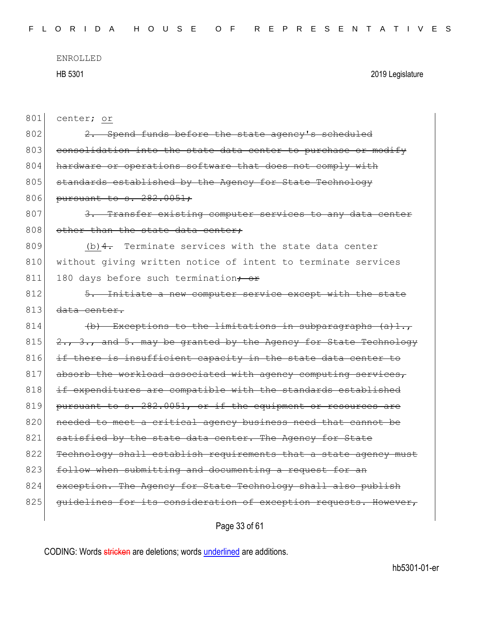| 801 | center; or                                                       |
|-----|------------------------------------------------------------------|
| 802 | 2. Spend funds before the state agency's scheduled               |
| 803 | consolidation into the state data center to purchase or modify   |
| 804 | hardware or operations software that does not comply with        |
| 805 | standards established by the Agency for State Technology         |
| 806 | pursuant to s. 282.0051;                                         |
| 807 | 3. Transfer existing computer services to any data center        |
| 808 | other than the state data center;                                |
| 809 | $(b)$ 4. Terminate services with the state data center           |
| 810 | without giving written notice of intent to terminate services    |
| 811 | 180 days before such termination, or                             |
| 812 | 5. Initiate a new computer service except with the state         |
| 813 | data center.                                                     |
| 814 | $(b)$ Exceptions to the limitations in subparagraphs $(a) 1.7$   |
| 815 | 2., 3., and 5. may be granted by the Agency for State Technology |
| 816 | if there is insufficient capacity in the state data center to    |
| 817 | absorb the workload associated with agency computing services,   |
| 818 | if expenditures are compatible with the standards established    |
| 819 | pursuant to s. 282.0051, or if the equipment or resources are    |
| 820 | needed to meet a critical agency business need that cannot be    |
| 821 | satisfied by the state data center. The Agency for State         |
| 822 | Technology shall establish requirements that a state agency must |
| 823 | follow when submitting and documenting a request for an          |
| 824 | exception. The Agency for State Technology shall also publish    |
| 825 | quidelines for its consideration of exception requests. However, |
|     |                                                                  |

Page 33 of 61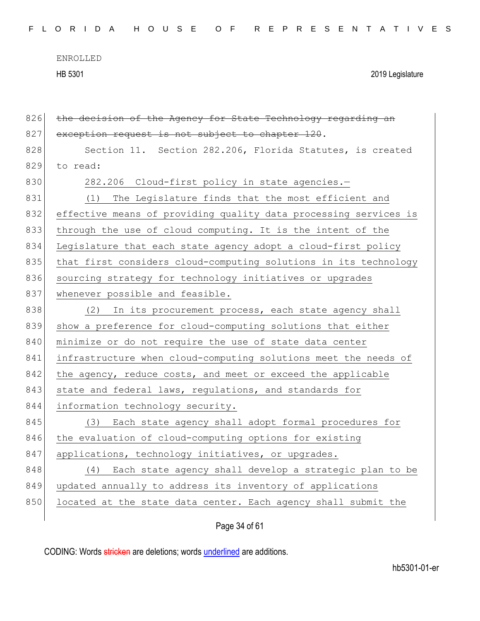| FLORIDA HOUSE OF REPRESENTATIVES |  |
|----------------------------------|--|
|----------------------------------|--|

| 826 | the decision of the Agency for State Technology regarding an     |
|-----|------------------------------------------------------------------|
| 827 | exception request is not subject to chapter 120.                 |
| 828 | Section 11. Section 282.206, Florida Statutes, is created        |
| 829 | to read:                                                         |
| 830 | 282.206 Cloud-first policy in state agencies.-                   |
| 831 | (1) The Legislature finds that the most efficient and            |
| 832 | effective means of providing quality data processing services is |
| 833 | through the use of cloud computing. It is the intent of the      |
| 834 | Legislature that each state agency adopt a cloud-first policy    |
| 835 | that first considers cloud-computing solutions in its technology |
| 836 | sourcing strategy for technology initiatives or upgrades         |
| 837 | whenever possible and feasible.                                  |
| 838 | In its procurement process, each state agency shall<br>(2)       |
| 839 | show a preference for cloud-computing solutions that either      |
| 840 | minimize or do not require the use of state data center          |
| 841 | infrastructure when cloud-computing solutions meet the needs of  |
| 842 | the agency, reduce costs, and meet or exceed the applicable      |
| 843 | state and federal laws, regulations, and standards for           |
| 844 | information technology security.                                 |
| 845 | (3) Each state agency shall adopt formal procedures for          |
| 846 | the evaluation of cloud-computing options for existing           |
| 847 | applications, technology initiatives, or upgrades.               |
| 848 | (4) Each state agency shall develop a strategic plan to be       |
| 849 | updated annually to address its inventory of applications        |
| 850 | located at the state data center. Each agency shall submit the   |
|     |                                                                  |

Page 34 of 61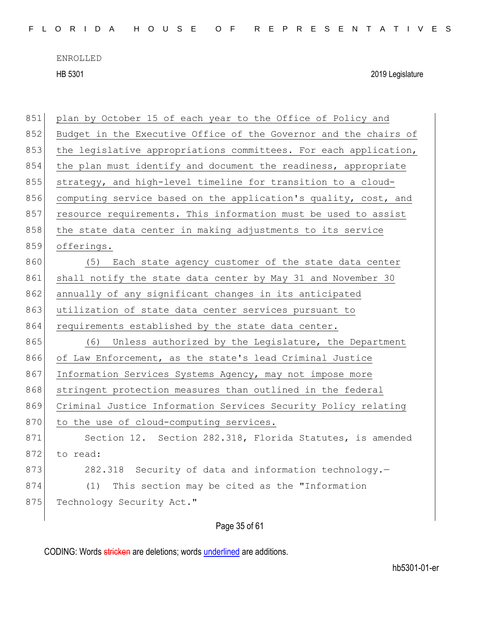| 851 | plan by October 15 of each year to the Office of Policy and      |
|-----|------------------------------------------------------------------|
| 852 | Budget in the Executive Office of the Governor and the chairs of |
| 853 | the legislative appropriations committees. For each application, |
| 854 | the plan must identify and document the readiness, appropriate   |
| 855 | strategy, and high-level timeline for transition to a cloud-     |
| 856 | computing service based on the application's quality, cost, and  |
| 857 | resource requirements. This information must be used to assist   |
| 858 | the state data center in making adjustments to its service       |
| 859 | offerings.                                                       |
| 860 | (5) Each state agency customer of the state data center          |
| 861 | shall notify the state data center by May 31 and November 30     |
| 862 | annually of any significant changes in its anticipated           |
| 863 | utilization of state data center services pursuant to            |
| 864 | requirements established by the state data center.               |
| 865 | (6)<br>Unless authorized by the Legislature, the Department      |
| 866 | of Law Enforcement, as the state's lead Criminal Justice         |
| 867 | Information Services Systems Agency, may not impose more         |
| 868 | stringent protection measures than outlined in the federal       |
| 869 | Criminal Justice Information Services Security Policy relating   |
| 870 | to the use of cloud-computing services.                          |
| 871 | Section 12. Section 282.318, Florida Statutes, is amended        |
| 872 | to read:                                                         |
| 873 | 282.318 Security of data and information technology.-            |
| 874 | This section may be cited as the "Information<br>(1)             |
| 875 | Technology Security Act."                                        |
|     |                                                                  |

Page 35 of 61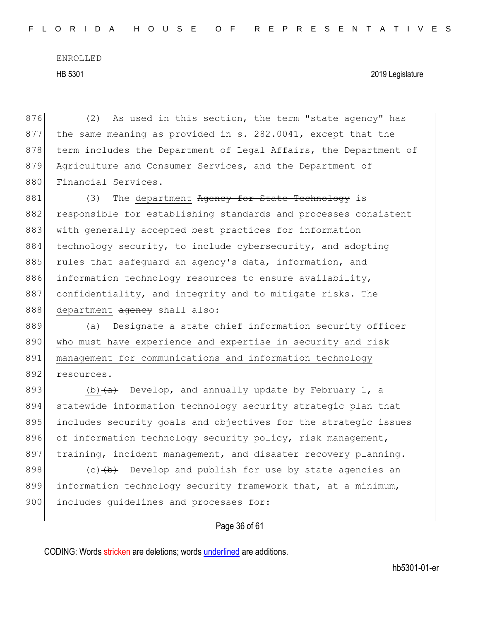HB 5301 2019 Legislature

876 (2) As used in this section, the term "state agency" has 877 the same meaning as provided in s. 282.0041, except that the 878 term includes the Department of Legal Affairs, the Department of 879 Agriculture and Consumer Services, and the Department of 880 Financial Services.

881 (3) The department Ageney for State Technology is 882 responsible for establishing standards and processes consistent 883 with generally accepted best practices for information 884 technology security, to include cybersecurity, and adopting 885 rules that safequard an agency's data, information, and 886 information technology resources to ensure availability, 887 confidentiality, and integrity and to mitigate risks. The 888 department agency shall also:

889 (a) Designate a state chief information security officer 890 who must have experience and expertise in security and risk 891 | management for communications and information technology 892 resources.

893 (b)  $(a + b)$  Develop, and annually update by February 1, a 894 statewide information technology security strategic plan that 895 includes security goals and objectives for the strategic issues 896 of information technology security policy, risk management, 897 training, incident management, and disaster recovery planning.

898 (c)  $\left(\frac{b}{b}\right)$  Develop and publish for use by state agencies an 899 information technology security framework that, at a minimum, 900 includes quidelines and processes for:

#### Page 36 of 61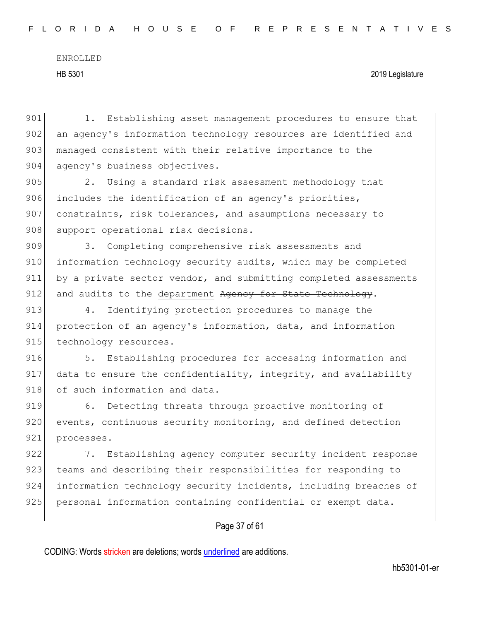901 1. Establishing asset management procedures to ensure that 902 an agency's information technology resources are identified and 903 managed consistent with their relative importance to the 904 agency's business objectives. 905 2. Using a standard risk assessment methodology that 906 includes the identification of an agency's priorities, 907 constraints, risk tolerances, and assumptions necessary to 908 support operational risk decisions. 909 3. Completing comprehensive risk assessments and 910 information technology security audits, which may be completed 911 by a private sector vendor, and submitting completed assessments 912 and audits to the department Agency for State Technology. 913 4. Identifying protection procedures to manage the 914 protection of an agency's information, data, and information 915 technology resources. 916 5. Establishing procedures for accessing information and 917 data to ensure the confidentiality, integrity, and availability 918 of such information and data. 919 6. Detecting threats through proactive monitoring of 920 events, continuous security monitoring, and defined detection 921 processes. 922 7. Establishing agency computer security incident response 923 teams and describing their responsibilities for responding to 924 information technology security incidents, including breaches of 925 personal information containing confidential or exempt data.

### Page 37 of 61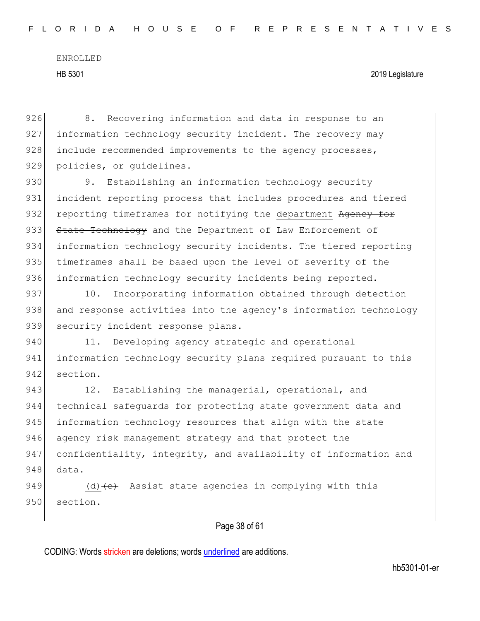926 8. Recovering information and data in response to an 927 information technology security incident. The recovery may 928 include recommended improvements to the agency processes, 929 policies, or quidelines.

930 9. Establishing an information technology security 931 incident reporting process that includes procedures and tiered 932 reporting timeframes for notifying the department Agency for 933 State Technology and the Department of Law Enforcement of 934 information technology security incidents. The tiered reporting 935 timeframes shall be based upon the level of severity of the 936 information technology security incidents being reported.

937 10. Incorporating information obtained through detection 938 and response activities into the agency's information technology 939 security incident response plans.

940 11. Developing agency strategic and operational 941 information technology security plans required pursuant to this 942 section.

943 12. Establishing the managerial, operational, and 944 technical safeguards for protecting state government data and 945 information technology resources that align with the state 946 agency risk management strategy and that protect the 947 confidentiality, integrity, and availability of information and 948 data.

949 (d)  $\left\{ \left( e \right)$  Assist state agencies in complying with this 950 section.

#### Page 38 of 61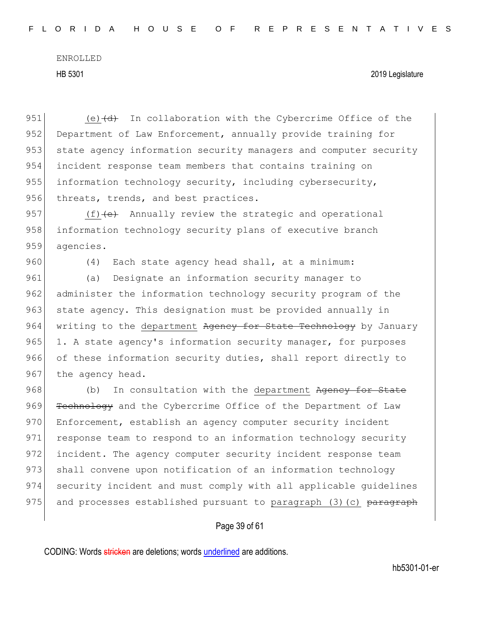HB 5301 2019 Legislature

951 (e)  $\left(\frac{d}{dt}\right)$  In collaboration with the Cybercrime Office of the 952 Department of Law Enforcement, annually provide training for 953 state agency information security managers and computer security 954 incident response team members that contains training on 955 information technology security, including cybersecurity, 956 threats, trends, and best practices.

957  $(f)$   $\left\{e\right\}$  Annually review the strategic and operational 958 information technology security plans of executive branch 959 agencies.

960 (4) Each state agency head shall, at a minimum:

961 (a) Designate an information security manager to 962 administer the information technology security program of the 963 state agency. This designation must be provided annually in  $964$  writing to the department Agency for State Technology by January  $965$  1. A state agency's information security manager, for purposes 966 of these information security duties, shall report directly to 967 the agency head.

968 (b) In consultation with the department Agency for State 969 Technology and the Cybercrime Office of the Department of Law 970 Enforcement, establish an agency computer security incident 971 response team to respond to an information technology security 972 incident. The agency computer security incident response team 973 shall convene upon notification of an information technology 974 security incident and must comply with all applicable guidelines 975 and processes established pursuant to paragraph  $(3)(c)$  paragraph

#### Page 39 of 61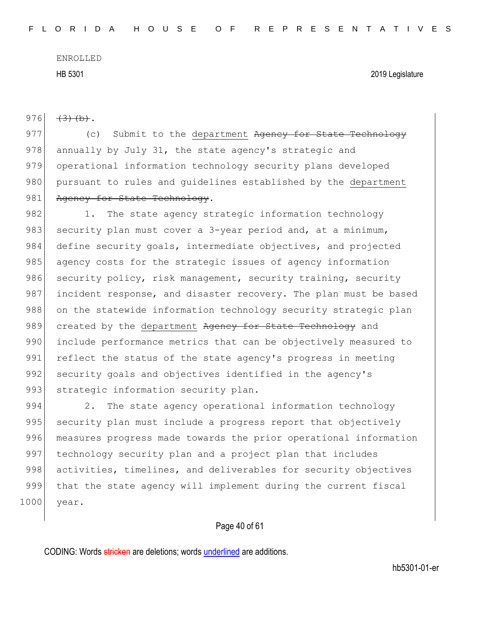976  $(3)(b).$ 

977 (c) Submit to the department Ageney for State Technology 978 annually by July 31, the state agency's strategic and 979 operational information technology security plans developed 980 pursuant to rules and quidelines established by the department 981 Agency for State Technology.

982 1. The state agency strategic information technology 983 security plan must cover a 3-year period and, at a minimum, 984 define security goals, intermediate objectives, and projected 985 agency costs for the strategic issues of agency information 986 security policy, risk management, security training, security 987 incident response, and disaster recovery. The plan must be based 988 on the statewide information technology security strategic plan 989 created by the department Agency for State Technology and 990 include performance metrics that can be objectively measured to 991 reflect the status of the state agency's progress in meeting 992 security goals and objectives identified in the agency's 993 strategic information security plan.

994 2. The state agency operational information technology 995 security plan must include a progress report that objectively 996 measures progress made towards the prior operational information 997 technology security plan and a project plan that includes 998 activities, timelines, and deliverables for security objectives 999 that the state agency will implement during the current fiscal 1000 year.

#### Page 40 of 61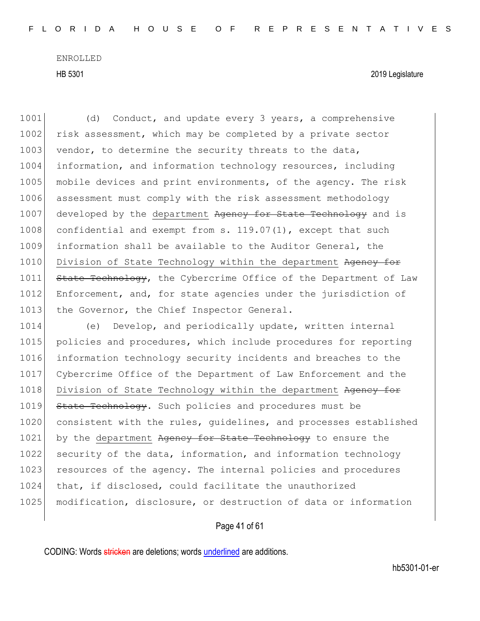1001 (d) Conduct, and update every 3 years, a comprehensive 1002 risk assessment, which may be completed by a private sector 1003 vendor, to determine the security threats to the data, 1004 information, and information technology resources, including 1005 mobile devices and print environments, of the agency. The risk 1006 assessment must comply with the risk assessment methodology 1007 developed by the department Ageney for State Technology and is 1008 confidential and exempt from s. 119.07(1), except that such 1009 information shall be available to the Auditor General, the 1010 Division of State Technology within the department Agency for 1011 State Technology, the Cybercrime Office of the Department of Law 1012 Enforcement, and, for state agencies under the jurisdiction of 1013 the Governor, the Chief Inspector General.

1014 (e) Develop, and periodically update, written internal 1015 policies and procedures, which include procedures for reporting 1016 information technology security incidents and breaches to the 1017 Cybercrime Office of the Department of Law Enforcement and the 1018 Division of State Technology within the department Agency for 1019 State Technology. Such policies and procedures must be 1020 consistent with the rules, guidelines, and processes established 1021 by the department Agency for State Technology to ensure the 1022 security of the data, information, and information technology 1023 resources of the agency. The internal policies and procedures 1024 that, if disclosed, could facilitate the unauthorized 1025 modification, disclosure, or destruction of data or information

#### Page 41 of 61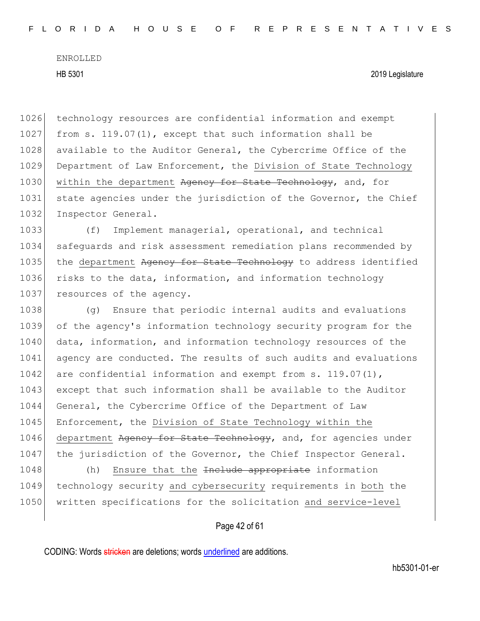1026 technology resources are confidential information and exempt 1027 from s. 119.07(1), except that such information shall be 1028 available to the Auditor General, the Cybercrime Office of the 1029 Department of Law Enforcement, the Division of State Technology 1030 within the department Ageney for State Technology, and, for 1031 state agencies under the jurisdiction of the Governor, the Chief 1032 Inspector General.

1033 (f) Implement managerial, operational, and technical 1034 safeguards and risk assessment remediation plans recommended by 1035 the department Agency for State Technology to address identified 1036 risks to the data, information, and information technology 1037 resources of the agency.

1038 (g) Ensure that periodic internal audits and evaluations 1039 of the agency's information technology security program for the 1040 data, information, and information technology resources of the 1041 agency are conducted. The results of such audits and evaluations 1042 are confidential information and exempt from s.  $119.07(1)$ , 1043 except that such information shall be available to the Auditor 1044 General, the Cybercrime Office of the Department of Law 1045 Enforcement, the Division of State Technology within the 1046 department Agency for State Technology, and, for agencies under 1047 the jurisdiction of the Governor, the Chief Inspector General.

1048 (h) Ensure that the <del>Include appropriate</del> information 1049 technology security and cybersecurity requirements in both the 1050 written specifications for the solicitation and service-level

Page 42 of 61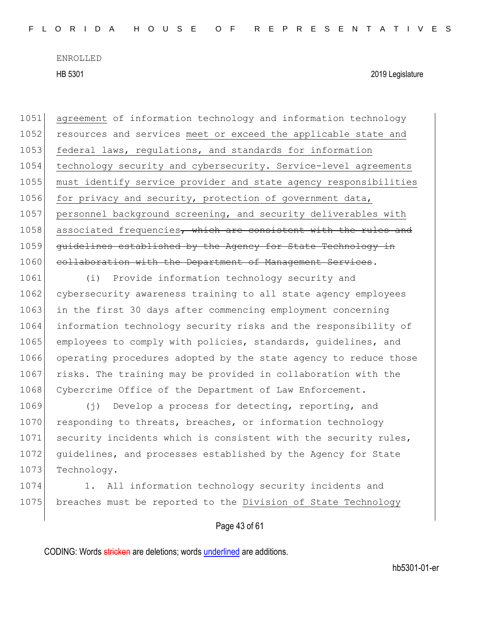HB 5301 2019 Legislature

1051 agreement of information technology and information technology 1052 resources and services meet or exceed the applicable state and 1053 federal laws, regulations, and standards for information 1054 technology security and cybersecurity. Service-level agreements 1055 must identify service provider and state agency responsibilities 1056 for privacy and security, protection of government data, 1057 personnel background screening, and security deliverables with 1058 associated frequencies, which are consistent with the rules and 1059 guidelines established by the Agency for State Technology in 1060 collaboration with the Department of Management Services.

1061 (i) Provide information technology security and 1062 cybersecurity awareness training to all state agency employees 1063 in the first 30 days after commencing employment concerning 1064 information technology security risks and the responsibility of 1065 employees to comply with policies, standards, quidelines, and 1066 operating procedures adopted by the state agency to reduce those 1067 risks. The training may be provided in collaboration with the 1068 Cybercrime Office of the Department of Law Enforcement.

1069 (j) Develop a process for detecting, reporting, and 1070 responding to threats, breaches, or information technology 1071 security incidents which is consistent with the security rules, 1072 guidelines, and processes established by the Agency for State 1073 Technology.

1074 1. All information technology security incidents and 1075 breaches must be reported to the Division of State Technology

Page 43 of 61

CODING: Words stricken are deletions; words underlined are additions.

hb5301-01-er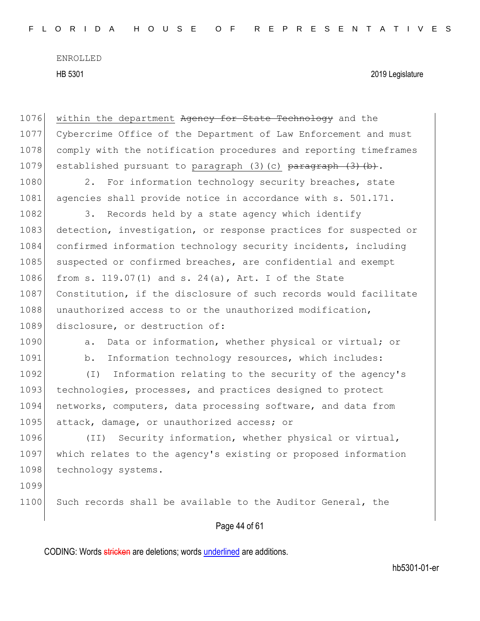HB 5301 2019 Legislature

1076 within the department Agency for State Technology and the 1077 Cybercrime Office of the Department of Law Enforcement and must 1078 comply with the notification procedures and reporting timeframes 1079 established pursuant to paragraph (3)(c) paragraph (3)(b).

1080 2. For information technology security breaches, state 1081 agencies shall provide notice in accordance with s. 501.171.

1082 3. Records held by a state agency which identify 1083 detection, investigation, or response practices for suspected or 1084 confirmed information technology security incidents, including 1085 suspected or confirmed breaches, are confidential and exempt 1086 from s. 119.07(1) and s. 24(a), Art. I of the State 1087 Constitution, if the disclosure of such records would facilitate 1088 unauthorized access to or the unauthorized modification, 1089 disclosure, or destruction of:

1090 a. Data or information, whether physical or virtual; or

1091 b. Information technology resources, which includes:

1092 (I) Information relating to the security of the agency's 1093 technologies, processes, and practices designed to protect 1094 networks, computers, data processing software, and data from 1095 attack, damage, or unauthorized access; or

1096 (II) Security information, whether physical or virtual, 1097 which relates to the agency's existing or proposed information 1098 technology systems.

1099

1100 Such records shall be available to the Auditor General, the

#### Page 44 of 61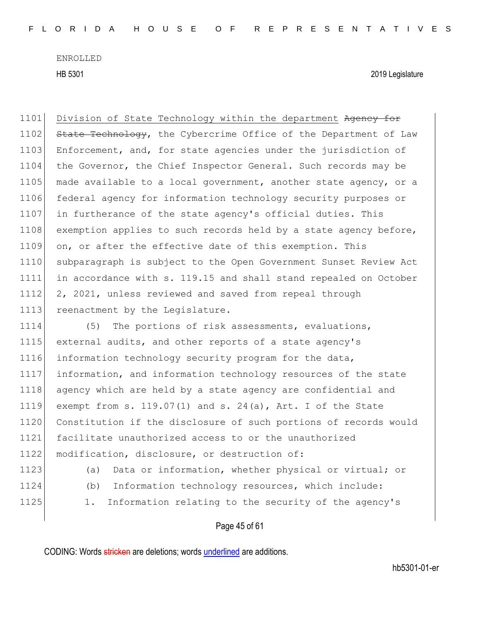HB 5301 2019 Legislature

1101 Division of State Technology within the department Agency for 1102 State Technology, the Cybercrime Office of the Department of Law 1103 Enforcement, and, for state agencies under the jurisdiction of 1104 the Governor, the Chief Inspector General. Such records may be 1105 made available to a local government, another state agency, or a 1106 federal agency for information technology security purposes or 1107 in furtherance of the state agency's official duties. This 1108 exemption applies to such records held by a state agency before, 1109 on, or after the effective date of this exemption. This 1110 subparagraph is subject to the Open Government Sunset Review Act 1111 in accordance with s. 119.15 and shall stand repealed on October 1112 2, 2021, unless reviewed and saved from repeal through 1113 reenactment by the Legislature.

1114 (5) The portions of risk assessments, evaluations, 1115 external audits, and other reports of a state agency's 1116 information technology security program for the data, 1117 information, and information technology resources of the state 1118 agency which are held by a state agency are confidential and 1119 exempt from s. 119.07(1) and s. 24(a), Art. I of the State 1120 Constitution if the disclosure of such portions of records would 1121 facilitate unauthorized access to or the unauthorized 1122 modification, disclosure, or destruction of:

- 1123 (a) Data or information, whether physical or virtual; or
- 
- 1124 (b) Information technology resources, which include:
- 1125 1. Information relating to the security of the agency's

Page 45 of 61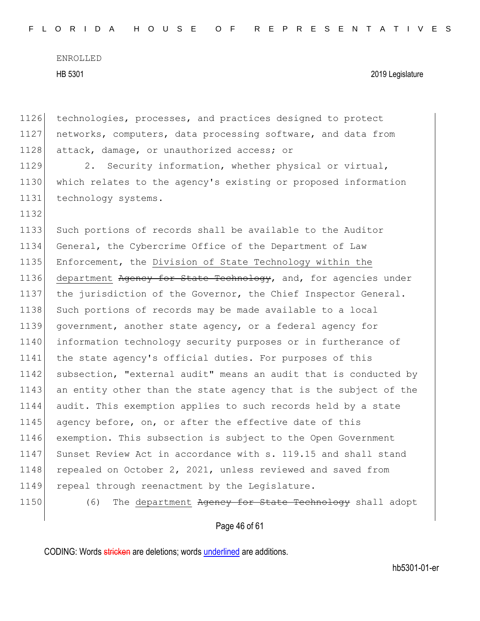1126 technologies, processes, and practices designed to protect 1127 networks, computers, data processing software, and data from 1128 attack, damage, or unauthorized access; or 1129 2. Security information, whether physical or virtual,

1130 which relates to the agency's existing or proposed information 1131 technology systems.

1133 Such portions of records shall be available to the Auditor 1134 General, the Cybercrime Office of the Department of Law 1135 Enforcement, the Division of State Technology within the 1136 department Agency for State Technology, and, for agencies under 1137 the jurisdiction of the Governor, the Chief Inspector General. 1138 Such portions of records may be made available to a local 1139 government, another state agency, or a federal agency for 1140 information technology security purposes or in furtherance of 1141 the state agency's official duties. For purposes of this 1142 subsection, "external audit" means an audit that is conducted by 1143 an entity other than the state agency that is the subject of the 1144 audit. This exemption applies to such records held by a state 1145 agency before, on, or after the effective date of this 1146 exemption. This subsection is subject to the Open Government 1147 Sunset Review Act in accordance with s. 119.15 and shall stand 1148 repealed on October 2, 2021, unless reviewed and saved from 1149 repeal through reenactment by the Legislature.

1132

1150 (6) The department Agency for State Technology shall adopt

#### Page 46 of 61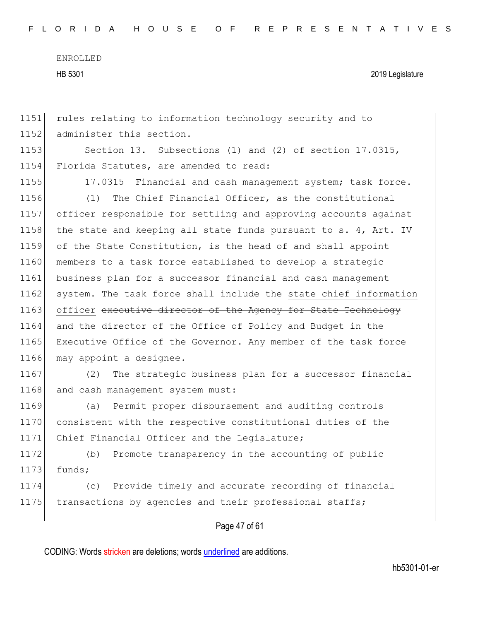1151 rules relating to information technology security and to 1152 administer this section. 1153 Section 13. Subsections (1) and (2) of section 17.0315, 1154 Florida Statutes, are amended to read: 1155 17.0315 Financial and cash management system; task force.-1156 (1) The Chief Financial Officer, as the constitutional 1157 officer responsible for settling and approving accounts against 1158 the state and keeping all state funds pursuant to s. 4, Art. IV 1159 of the State Constitution, is the head of and shall appoint 1160 members to a task force established to develop a strategic 1161 business plan for a successor financial and cash management 1162 system. The task force shall include the state chief information 1163 officer executive director of the Agency for State Technology 1164 and the director of the Office of Policy and Budget in the 1165 Executive Office of the Governor. Any member of the task force 1166 may appoint a designee. 1167 (2) The strategic business plan for a successor financial 1168 and cash management system must: 1169 (a) Permit proper disbursement and auditing controls 1170 consistent with the respective constitutional duties of the 1171 Chief Financial Officer and the Legislature; 1172 (b) Promote transparency in the accounting of public  $1173$  funds; 1174 (c) Provide timely and accurate recording of financial 1175 transactions by agencies and their professional staffs;

Page 47 of 61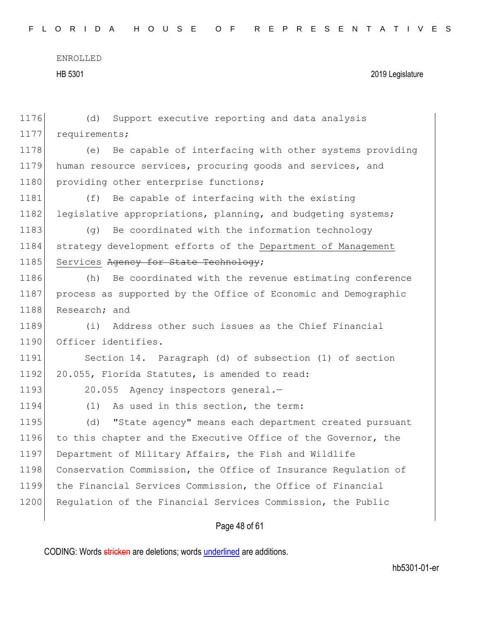| 1176 | Support executive reporting and data analysis<br>(d)           |
|------|----------------------------------------------------------------|
| 1177 | requirements;                                                  |
| 1178 | (e) Be capable of interfacing with other systems providing     |
| 1179 | human resource services, procuring goods and services, and     |
| 1180 | providing other enterprise functions;                          |
| 1181 | (f)<br>Be capable of interfacing with the existing             |
| 1182 | legislative appropriations, planning, and budgeting systems;   |
| 1183 | Be coordinated with the information technology<br>(a)          |
| 1184 | strategy development efforts of the Department of Management   |
| 1185 | Services Agency for State Technology;                          |
| 1186 | Be coordinated with the revenue estimating conference<br>(h)   |
| 1187 | process as supported by the Office of Economic and Demographic |
| 1188 | Research; and                                                  |
| 1189 | Address other such issues as the Chief Financial<br>(i)        |
| 1190 | Officer identifies.                                            |
| 1191 | Section 14. Paragraph (d) of subsection (1) of section         |
| 1192 | 20.055, Florida Statutes, is amended to read:                  |
| 1193 | 20.055 Agency inspectors general.-                             |
| 1194 | As used in this section, the term:<br>(1)                      |
| 1195 | "State agency" means each department created pursuant<br>(d)   |
| 1196 | to this chapter and the Executive Office of the Governor, the  |
| 1197 | Department of Military Affairs, the Fish and Wildlife          |
| 1198 | Conservation Commission, the Office of Insurance Requlation of |
| 1199 | the Financial Services Commission, the Office of Financial     |
| 1200 | Regulation of the Financial Services Commission, the Public    |
|      |                                                                |

## Page 48 of 61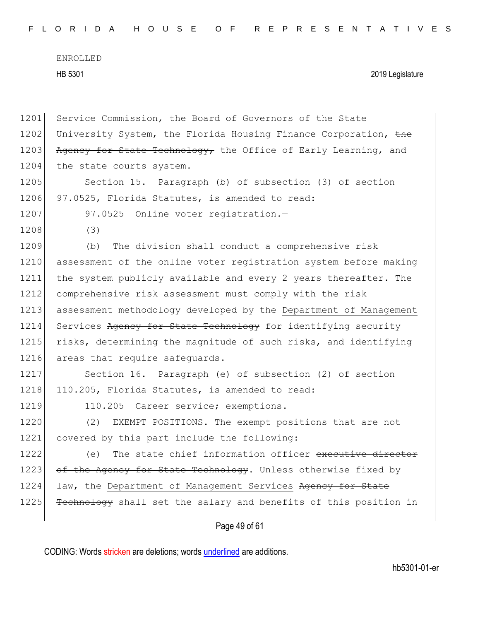| FLORIDA HOUSE OF REPRESENTATIVES |
|----------------------------------|
|----------------------------------|

| 1201 | Service Commission, the Board of Governors of the State          |
|------|------------------------------------------------------------------|
| 1202 | University System, the Florida Housing Finance Corporation, the  |
| 1203 | Agency for State Technology, the Office of Early Learning, and   |
| 1204 | the state courts system.                                         |
| 1205 | Section 15. Paragraph (b) of subsection (3) of section           |
| 1206 | 97.0525, Florida Statutes, is amended to read:                   |
| 1207 | 97.0525 Online voter registration.-                              |
| 1208 | (3)                                                              |
| 1209 | The division shall conduct a comprehensive risk<br>(b)           |
| 1210 | assessment of the online voter registration system before making |
| 1211 | the system publicly available and every 2 years thereafter. The  |
| 1212 | comprehensive risk assessment must comply with the risk          |
| 1213 | assessment methodology developed by the Department of Management |
| 1214 | Services Agency for State Technology for identifying security    |
| 1215 | risks, determining the magnitude of such risks, and identifying  |
| 1216 | areas that require safequards.                                   |
| 1217 | Section 16. Paragraph (e) of subsection (2) of section           |
| 1218 | 110.205, Florida Statutes, is amended to read:                   |
| 1219 | 110.205 Career service; exemptions.-                             |
| 1220 | (2)<br>EXEMPT POSITIONS. The exempt positions that are not       |
| 1221 | covered by this part include the following:                      |
| 1222 | The state chief information officer executive director<br>(e)    |
| 1223 | of the Agency for State Technology. Unless otherwise fixed by    |
| 1224 | law, the Department of Management Services Agency for State      |
| 1225 | Fechnology shall set the salary and benefits of this position in |
|      | Page 49 of 61                                                    |
|      |                                                                  |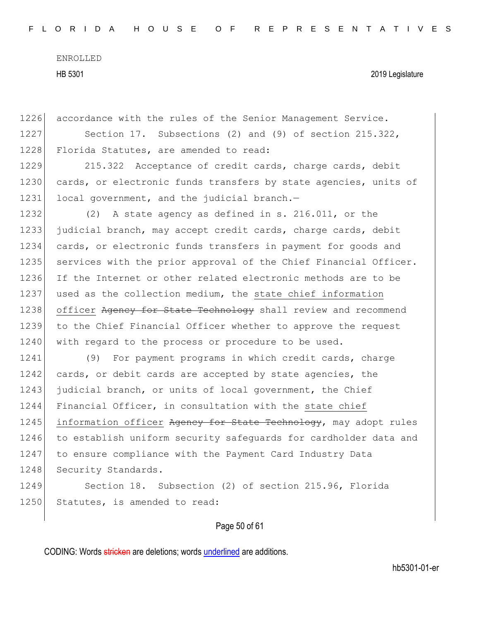1226 accordance with the rules of the Senior Management Service. 1227 Section 17. Subsections (2) and (9) of section 215.322, 1228 Florida Statutes, are amended to read: 1229 215.322 Acceptance of credit cards, charge cards, debit 1230 cards, or electronic funds transfers by state agencies, units of 1231 local government, and the judicial branch.-1232 (2) A state agency as defined in s. 216.011, or the 1233 judicial branch, may accept credit cards, charge cards, debit 1234 cards, or electronic funds transfers in payment for goods and 1235 services with the prior approval of the Chief Financial Officer. 1236 If the Internet or other related electronic methods are to be 1237 used as the collection medium, the state chief information 1238 officer Agency for State Technology shall review and recommend 1239 to the Chief Financial Officer whether to approve the request 1240 with regard to the process or procedure to be used. 1241 (9) For payment programs in which credit cards, charge 1242 cards, or debit cards are accepted by state agencies, the 1243 judicial branch, or units of local government, the Chief 1244 Financial Officer, in consultation with the state chief 1245 information officer Agency for State Technology, may adopt rules 1246 to establish uniform security safequards for cardholder data and 1247 to ensure compliance with the Payment Card Industry Data 1248 Security Standards. 1249 Section 18. Subsection (2) of section 215.96, Florida 1250 Statutes, is amended to read:

#### Page 50 of 61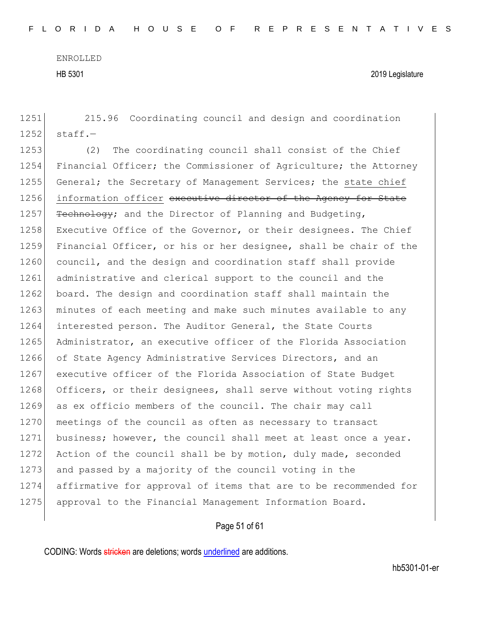1251 215.96 Coordinating council and design and coordination

ENROLLED HB 5301 2019 Legislature

 $1252$  staff.-1253 (2) The coordinating council shall consist of the Chief 1254 Financial Officer; the Commissioner of Agriculture; the Attorney 1255 General; the Secretary of Management Services; the state chief 1256 information officer executive director of the Agency for State 1257  $Fee$ hnology; and the Director of Planning and Budgeting, 1258 Executive Office of the Governor, or their designees. The Chief 1259 Financial Officer, or his or her designee, shall be chair of the 1260 council, and the design and coordination staff shall provide 1261 administrative and clerical support to the council and the 1262 board. The design and coordination staff shall maintain the 1263 minutes of each meeting and make such minutes available to any 1264 interested person. The Auditor General, the State Courts 1265 Administrator, an executive officer of the Florida Association 1266 of State Agency Administrative Services Directors, and an 1267 executive officer of the Florida Association of State Budget 1268 Officers, or their designees, shall serve without voting rights 1269 as ex officio members of the council. The chair may call 1270 meetings of the council as often as necessary to transact 1271 business; however, the council shall meet at least once a year. 1272 Action of the council shall be by motion, duly made, seconded 1273 and passed by a majority of the council voting in the 1274 affirmative for approval of items that are to be recommended for 1275 approval to the Financial Management Information Board.

#### Page 51 of 61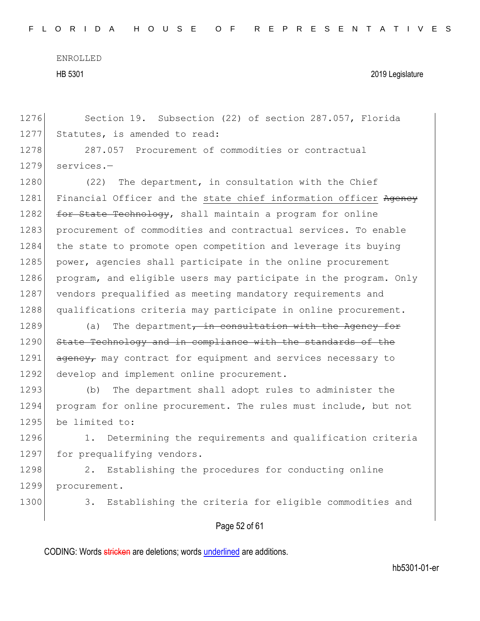F L O R I D A H O U S E O F R E P R E S E N T A T I V E S

ENROLLED

HB 5301 2019 Legislature

1276 Section 19. Subsection (22) of section 287.057, Florida 1277 Statutes, is amended to read:

1278 287.057 Procurement of commodities or contractual 1279 services.-

1280 (22) The department, in consultation with the Chief 1281 Financial Officer and the state chief information officer Agency 1282 for State Technology, shall maintain a program for online 1283 procurement of commodities and contractual services. To enable 1284 the state to promote open competition and leverage its buying 1285 power, agencies shall participate in the online procurement 1286 program, and eligible users may participate in the program. Only 1287 vendors prequalified as meeting mandatory requirements and 1288 qualifications criteria may participate in online procurement.

 $1289$  (a) The department, in consultation with the Agency for 1290 State Technology and in compliance with the standards of the 1291 agency, may contract for equipment and services necessary to 1292 develop and implement online procurement.

1293 (b) The department shall adopt rules to administer the 1294 program for online procurement. The rules must include, but not 1295 be limited to:

1296 1. Determining the requirements and qualification criteria 1297 for prequalifying vendors.

1298 2. Establishing the procedures for conducting online 1299 procurement.

1300 3. Establishing the criteria for eligible commodities and

#### Page 52 of 61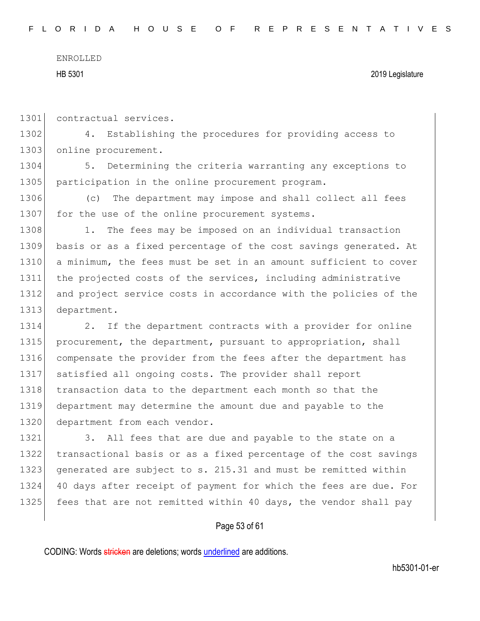```
ENROLLED
```
HB 5301 2019 Legislature

1301 contractual services.

1302 4. Establishing the procedures for providing access to 1303 online procurement.

1304 5. Determining the criteria warranting any exceptions to 1305 participation in the online procurement program.

1306 (c) The department may impose and shall collect all fees 1307 for the use of the online procurement systems.

1308 1. The fees may be imposed on an individual transaction basis or as a fixed percentage of the cost savings generated. At 1310 a minimum, the fees must be set in an amount sufficient to cover the projected costs of the services, including administrative and project service costs in accordance with the policies of the department.

1314 2. If the department contracts with a provider for online 1315 procurement, the department, pursuant to appropriation, shall 1316 compensate the provider from the fees after the department has 1317 satisfied all ongoing costs. The provider shall report 1318 transaction data to the department each month so that the 1319 department may determine the amount due and payable to the 1320 department from each vendor.

1321 3. All fees that are due and payable to the state on a 1322 transactional basis or as a fixed percentage of the cost savings 1323 generated are subject to s. 215.31 and must be remitted within 1324 40 days after receipt of payment for which the fees are due. For 1325 fees that are not remitted within 40 days, the vendor shall pay

#### Page 53 of 61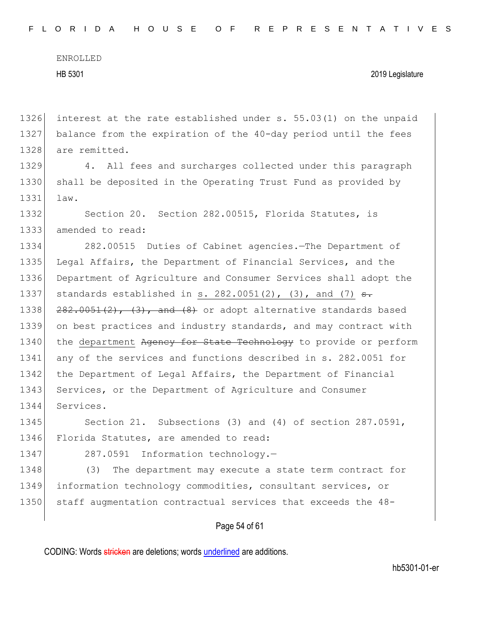#### HB 5301 2019 Legislature

1326 interest at the rate established under s. 55.03(1) on the unpaid 1327 balance from the expiration of the 40-day period until the fees 1328 are remitted.

1329 4. All fees and surcharges collected under this paragraph 1330 shall be deposited in the Operating Trust Fund as provided by 1331 law.

1332 Section 20. Section 282.00515, Florida Statutes, is 1333 amended to read:

1334 282.00515 Duties of Cabinet agencies.—The Department of 1335 Legal Affairs, the Department of Financial Services, and the 1336 Department of Agriculture and Consumer Services shall adopt the 1337 standards established in s. 282.0051(2), (3), and (7)  $s$ . 1338  $282.0051(2)$ ,  $(3)$ , and  $(8)$  or adopt alternative standards based 1339 on best practices and industry standards, and may contract with 1340 the department Agency for State Technology to provide or perform 1341 any of the services and functions described in s. 282.0051 for 1342 the Department of Legal Affairs, the Department of Financial 1343 Services, or the Department of Agriculture and Consumer 1344 Services.

1345 Section 21. Subsections (3) and (4) of section 287.0591, 1346 Florida Statutes, are amended to read:

1347 287.0591 Information technology.-

1348 (3) The department may execute a state term contract for 1349 information technology commodities, consultant services, or 1350 staff augmentation contractual services that exceeds the 48-

#### Page 54 of 61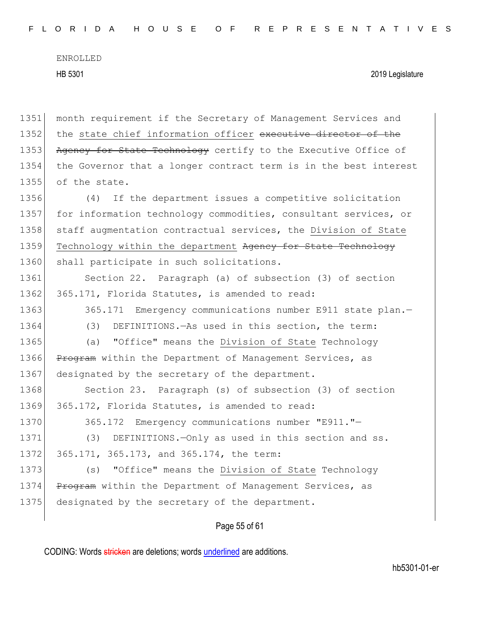HB 5301 2019 Legislature

1351 month requirement if the Secretary of Management Services and 1352 the state chief information officer executive director of the 1353 Agency for State Technology certify to the Executive Office of 1354 the Governor that a longer contract term is in the best interest 1355 of the state. 1356 (4) If the department issues a competitive solicitation 1357 for information technology commodities, consultant services, or 1358 staff augmentation contractual services, the Division of State 1359 Technology within the department Agency for State Technology 1360 shall participate in such solicitations. 1361 Section 22. Paragraph (a) of subsection (3) of section 1362 365.171, Florida Statutes, is amended to read: 1363 365.171 Emergency communications number E911 state plan.-1364 (3) DEFINITIONS.—As used in this section, the term: 1365 (a) "Office" means the Division of State Technology 1366 Program within the Department of Management Services, as 1367 designated by the secretary of the department. 1368 Section 23. Paragraph (s) of subsection (3) of section 1369 365.172, Florida Statutes, is amended to read: 1370 365.172 Emergency communications number "E911."-1371 (3) DEFINITIONS. - Only as used in this section and ss. 1372 365.171, 365.173, and 365.174, the term: 1373 (s) "Office" means the Division of State Technology 1374 Program within the Department of Management Services, as 1375 designated by the secretary of the department.

#### Page 55 of 61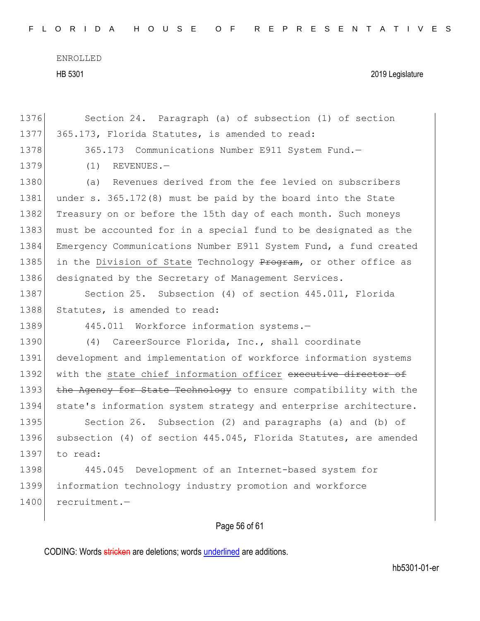F L O R I D A H O U S E O F R E P R E S E N T A T I V E S

ENROLLED HB 5301 2019 Legislature

| 1376 | Section 24. Paragraph (a) of subsection (1) of section           |
|------|------------------------------------------------------------------|
| 1377 | 365.173, Florida Statutes, is amended to read:                   |
| 1378 | 365.173 Communications Number E911 System Fund.-                 |
| 1379 | REVENUES.-<br>(1)                                                |
| 1380 | Revenues derived from the fee levied on subscribers<br>(a)       |
| 1381 | under s. 365.172(8) must be paid by the board into the State     |
| 1382 | Treasury on or before the 15th day of each month. Such moneys    |
| 1383 | must be accounted for in a special fund to be designated as the  |
| 1384 | Emergency Communications Number E911 System Fund, a fund created |
| 1385 | in the Division of State Technology Program, or other office as  |
| 1386 | designated by the Secretary of Management Services.              |
| 1387 | Section 25. Subsection (4) of section 445.011, Florida           |
| 1388 | Statutes, is amended to read:                                    |
|      |                                                                  |
| 1389 | 445.011 Workforce information systems.-                          |
| 1390 | (4) CareerSource Florida, Inc., shall coordinate                 |
| 1391 | development and implementation of workforce information systems  |
| 1392 | with the state chief information officer executive director of   |
| 1393 | the Agency for State Technology to ensure compatibility with the |
| 1394 | state's information system strategy and enterprise architecture. |
| 1395 | Section 26. Subsection (2) and paragraphs (a) and (b) of         |
| 1396 | subsection (4) of section 445.045, Florida Statutes, are amended |
| 1397 | to read:                                                         |
| 1398 | 445.045 Development of an Internet-based system for              |
| 1399 | information technology industry promotion and workforce          |
| 1400 | recruitment.-                                                    |

## Page 56 of 61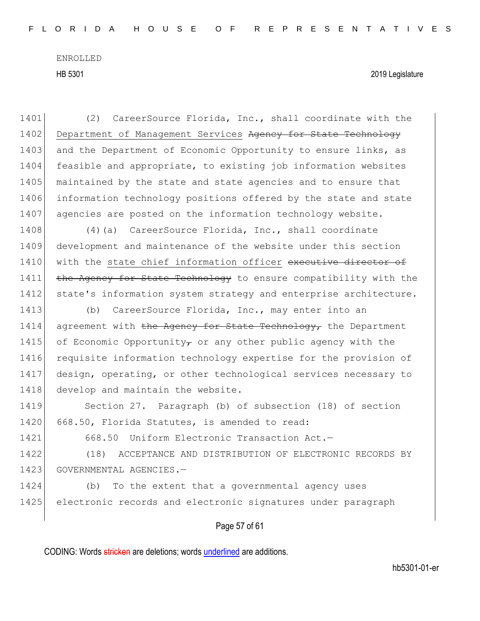1401 (2) CareerSource Florida, Inc., shall coordinate with the 1402 Department of Management Services Ageney for State Technology 1403 and the Department of Economic Opportunity to ensure links, as 1404 feasible and appropriate, to existing job information websites 1405 maintained by the state and state agencies and to ensure that 1406 information technology positions offered by the state and state 1407 agencies are posted on the information technology website.

1408 (4)(a) CareerSource Florida, Inc., shall coordinate 1409 development and maintenance of the website under this section 1410 with the state chief information officer executive director of 1411 the Agency for State Technology to ensure compatibility with the 1412 state's information system strategy and enterprise architecture.

1413 (b) CareerSource Florida, Inc., may enter into an  $1414$  agreement with the Agency for State Technology, the Department 1415 of Economic Opportunity, or any other public agency with the 1416 requisite information technology expertise for the provision of 1417 design, operating, or other technological services necessary to 1418 develop and maintain the website.

1419 Section 27. Paragraph (b) of subsection (18) of section 1420 668.50, Florida Statutes, is amended to read:

1421 668.50 Uniform Electronic Transaction Act.—

1422 (18) ACCEPTANCE AND DISTRIBUTION OF ELECTRONIC RECORDS BY 1423 GOVERNMENTAL AGENCIES.—

1424 (b) To the extent that a governmental agency uses 1425 electronic records and electronic signatures under paragraph

#### Page 57 of 61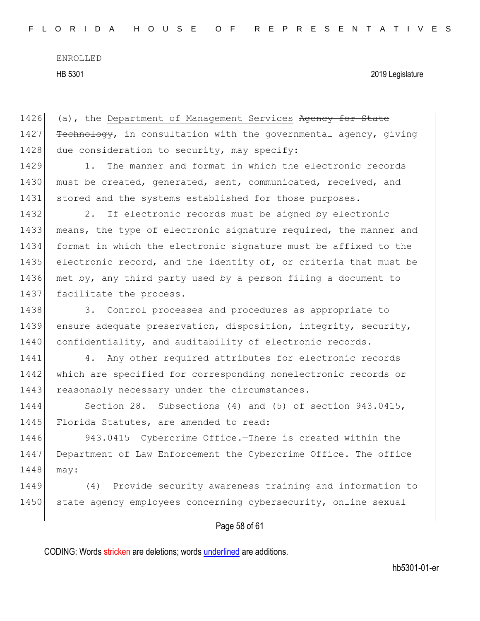HB 5301 2019 Legislature

Page 58 of 61 1426 (a), the Department of Management Services Agency for State 1427  $Fechnology$ , in consultation with the governmental agency, giving 1428 due consideration to security, may specify: 1429 1. The manner and format in which the electronic records 1430 must be created, generated, sent, communicated, received, and 1431 stored and the systems established for those purposes. 1432 2. If electronic records must be signed by electronic 1433 means, the type of electronic signature required, the manner and 1434 format in which the electronic signature must be affixed to the 1435 electronic record, and the identity of, or criteria that must be 1436 met by, any third party used by a person filing a document to 1437 facilitate the process. 1438 3. Control processes and procedures as appropriate to 1439 ensure adequate preservation, disposition, integrity, security, 1440 confidentiality, and auditability of electronic records. 1441 4. Any other required attributes for electronic records 1442 which are specified for corresponding nonelectronic records or 1443 reasonably necessary under the circumstances. 1444 Section 28. Subsections (4) and (5) of section 943.0415, 1445 Florida Statutes, are amended to read: 1446 943.0415 Cybercrime Office.—There is created within the 1447 Department of Law Enforcement the Cybercrime Office. The office 1448 may: 1449 (4) Provide security awareness training and information to 1450 state agency employees concerning cybersecurity, online sexual

CODING: Words stricken are deletions; words underlined are additions.

hb5301-01-er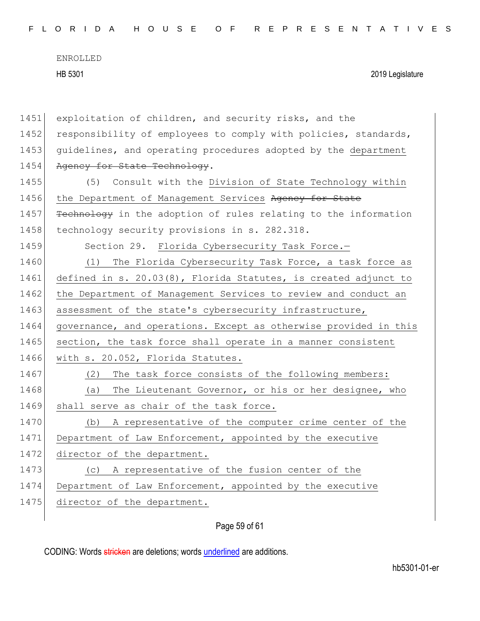| 1451 | exploitation of children, and security risks, and the              |
|------|--------------------------------------------------------------------|
| 1452 | responsibility of employees to comply with policies, standards,    |
| 1453 | guidelines, and operating procedures adopted by the department     |
| 1454 | Agency for State Technology.                                       |
| 1455 | (5) Consult with the Division of State Technology within           |
| 1456 | the Department of Management Services Agency for State             |
| 1457 | Technology in the adoption of rules relating to the information    |
| 1458 | technology security provisions in s. 282.318.                      |
| 1459 | Section 29. Florida Cybersecurity Task Force.-                     |
| 1460 | (1) The Florida Cybersecurity Task Force, a task force as          |
| 1461 | defined in s. $20.03(8)$ , Florida Statutes, is created adjunct to |
| 1462 | the Department of Management Services to review and conduct an     |
| 1463 | assessment of the state's cybersecurity infrastructure,            |
| 1464 | governance, and operations. Except as otherwise provided in this   |
| 1465 | section, the task force shall operate in a manner consistent       |
| 1466 | with s. 20.052, Florida Statutes.                                  |
| 1467 | (2) The task force consists of the following members:              |
| 1468 | The Lieutenant Governor, or his or her designee, who<br>(a)        |
| 1469 | shall serve as chair of the task force.                            |
| 1470 | A representative of the computer crime center of the<br>(b)        |
| 1471 | Department of Law Enforcement, appointed by the executive          |
| 1472 | director of the department.                                        |
| 1473 | A representative of the fusion center of the<br>(C)                |
| 1474 | Department of Law Enforcement, appointed by the executive          |
| 1475 | director of the department.                                        |
|      |                                                                    |

Page 59 of 61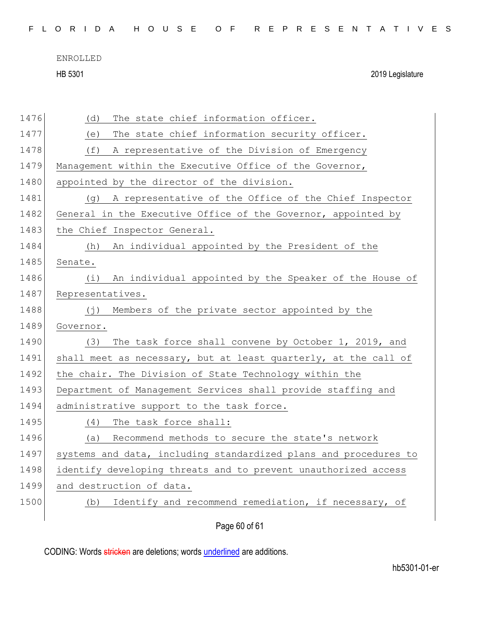HB 5301 2019 Legislature

| 1476 | The state chief information officer.<br>(d)                      |
|------|------------------------------------------------------------------|
| 1477 | The state chief information security officer.<br>(e)             |
| 1478 | (f)<br>A representative of the Division of Emergency             |
| 1479 | Management within the Executive Office of the Governor,          |
| 1480 | appointed by the director of the division.                       |
| 1481 | A representative of the Office of the Chief Inspector<br>(g)     |
| 1482 | General in the Executive Office of the Governor, appointed by    |
| 1483 | the Chief Inspector General.                                     |
| 1484 | An individual appointed by the President of the<br>(h)           |
| 1485 | Senate.                                                          |
| 1486 | An individual appointed by the Speaker of the House of<br>(i)    |
| 1487 | Representatives.                                                 |
| 1488 | $(\dagger)$<br>Members of the private sector appointed by the    |
| 1489 | Governor.                                                        |
| 1490 | The task force shall convene by October 1, 2019, and<br>(3)      |
| 1491 | shall meet as necessary, but at least quarterly, at the call of  |
| 1492 | the chair. The Division of State Technology within the           |
| 1493 | Department of Management Services shall provide staffing and     |
| 1494 | administrative support to the task force.                        |
| 1495 | The task force shall:<br>(4)                                     |
| 1496 | Recommend methods to secure the state's network<br>(a)           |
| 1497 | systems and data, including standardized plans and procedures to |
| 1498 | identify developing threats and to prevent unauthorized access   |
| 1499 | and destruction of data.                                         |
| 1500 | Identify and recommend remediation, if necessary, of<br>(b)      |
|      | Page 60 of 61                                                    |